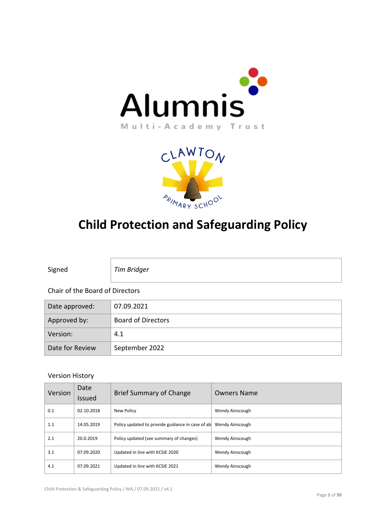



# **Child Protection and Safeguarding Policy**

Signed *Tim Bridger*

#### Chair of the Board of Directors

| Date approved:  | 07.09.2021                |
|-----------------|---------------------------|
| Approved by:    | <b>Board of Directors</b> |
| Version:        | 4.1                       |
| Date for Review | September 2022            |

#### Version History

| Version | Date<br>Issued | Brief Summary of Change                          | <b>Owners Name</b> |
|---------|----------------|--------------------------------------------------|--------------------|
| 0.1     | 02.10.2018     | New Policy                                       | Wendy Ainscough    |
| 1.1     | 14.05.2019     | Policy updated to provide guidance in case of ab | Wendy Ainscough    |
| 2.1     | 20.0.2019      | Policy updated (see summary of changes)          | Wendy Ainscough    |
| 3.1     | 07.09.2020     | Updated in line with KCSIE 2020                  | Wendy Ainscough    |
| 4.1     | 07.09.2021     | Updated in line with KCSIE 2021                  | Wendy Ainscough    |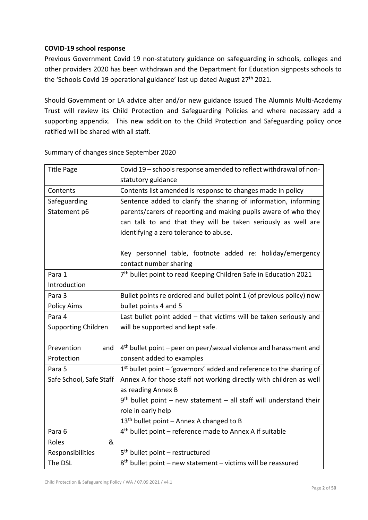## **COVID-19 school response**

Previous Government Covid 19 non-statutory guidance on safeguarding in schools, colleges and other providers 2020 has been withdrawn and the Department for Education signposts schools to the 'Schools Covid 19 operational guidance' last up dated August 27<sup>th</sup> 2021.

Should Government or LA advice alter and/or new guidance issued The Alumnis Multi-Academy Trust will review its Child Protection and Safeguarding Policies and where necessary add a supporting appendix. This new addition to the Child Protection and Safeguarding policy once ratified will be shared with all staff.

| <b>Title Page</b>          | Covid 19 - schools response amended to reflect withdrawal of non-              |  |  |
|----------------------------|--------------------------------------------------------------------------------|--|--|
|                            | statutory guidance                                                             |  |  |
| Contents                   | Contents list amended is response to changes made in policy                    |  |  |
| Safeguarding               | Sentence added to clarify the sharing of information, informing                |  |  |
| Statement p6               | parents/carers of reporting and making pupils aware of who they                |  |  |
|                            | can talk to and that they will be taken seriously as well are                  |  |  |
|                            | identifying a zero tolerance to abuse.                                         |  |  |
|                            |                                                                                |  |  |
|                            | Key personnel table, footnote added re: holiday/emergency                      |  |  |
|                            | contact number sharing                                                         |  |  |
| Para 1                     | 7 <sup>th</sup> bullet point to read Keeping Children Safe in Education 2021   |  |  |
| Introduction               |                                                                                |  |  |
| Para 3                     | Bullet points re ordered and bullet point 1 (of previous policy) now           |  |  |
| <b>Policy Aims</b>         | bullet points 4 and 5                                                          |  |  |
| Para 4                     | Last bullet point added - that victims will be taken seriously and             |  |  |
| <b>Supporting Children</b> | will be supported and kept safe.                                               |  |  |
|                            |                                                                                |  |  |
| Prevention<br>and          | 4 <sup>th</sup> bullet point – peer on peer/sexual violence and harassment and |  |  |
| Protection                 | consent added to examples                                                      |  |  |
| Para 5                     | $1st$ bullet point – 'governors' added and reference to the sharing of         |  |  |
| Safe School, Safe Staff    | Annex A for those staff not working directly with children as well             |  |  |
|                            | as reading Annex B                                                             |  |  |
|                            | $9th$ bullet point – new statement – all staff will understand their           |  |  |
|                            | role in early help                                                             |  |  |
|                            | 13 <sup>th</sup> bullet point - Annex A changed to B                           |  |  |
| Para 6                     | 4 <sup>th</sup> bullet point - reference made to Annex A if suitable           |  |  |
| Roles<br>&                 |                                                                                |  |  |
| Responsibilities           | $5th$ bullet point – restructured                                              |  |  |
| The DSL                    | $8th$ bullet point – new statement – victims will be reassured                 |  |  |

Summary of changes since September 2020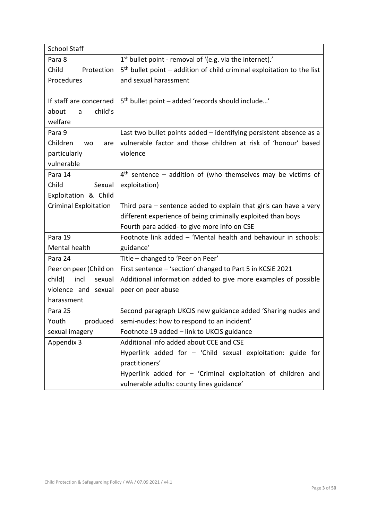| <b>School Staff</b>          |                                                                          |  |
|------------------------------|--------------------------------------------------------------------------|--|
| Para 8                       | 1 <sup>st</sup> bullet point - removal of '(e.g. via the internet).'     |  |
| Child<br>Protection          | $5th$ bullet point – addition of child criminal exploitation to the list |  |
| Procedures                   | and sexual harassment                                                    |  |
|                              |                                                                          |  |
| If staff are concerned       | 5 <sup>th</sup> bullet point – added 'records should include'            |  |
| child's<br>about<br>a        |                                                                          |  |
| welfare                      |                                                                          |  |
| Para 9                       | Last two bullet points added - identifying persistent absence as a       |  |
| Children<br><b>WO</b><br>are | vulnerable factor and those children at risk of 'honour' based           |  |
| particularly                 | violence                                                                 |  |
| vulnerable                   |                                                                          |  |
| Para 14                      | $4th$ sentence – addition of (who themselves may be victims of           |  |
| Child<br>Sexual              | exploitation)                                                            |  |
| Exploitation & Child         |                                                                          |  |
| <b>Criminal Exploitation</b> | Third para – sentence added to explain that girls can have a very        |  |
|                              | different experience of being criminally exploited than boys             |  |
|                              | Fourth para added- to give more info on CSE                              |  |
| Para 19                      | Footnote link added - 'Mental health and behaviour in schools:           |  |
| Mental health                | guidance'                                                                |  |
| Para 24                      | Title - changed to 'Peer on Peer'                                        |  |
| Peer on peer (Child on       | First sentence - 'section' changed to Part 5 in KCSiE 2021               |  |
| child)<br>incl<br>sexual     | Additional information added to give more examples of possible           |  |
| violence and sexual          | peer on peer abuse                                                       |  |
| harassment                   |                                                                          |  |
| Para 25                      | Second paragraph UKCIS new guidance added 'Sharing nudes and             |  |
| Youth<br>produced            | semi-nudes: how to respond to an incident'                               |  |
| sexual imagery               | Footnote 19 added - link to UKCIS guidance                               |  |
| Appendix 3                   | Additional info added about CCE and CSE                                  |  |
|                              | Hyperlink added for - 'Child sexual exploitation: guide for              |  |
|                              | practitioners'                                                           |  |
|                              | Hyperlink added for $-$ 'Criminal exploitation of children and           |  |
|                              | vulnerable adults: county lines guidance'                                |  |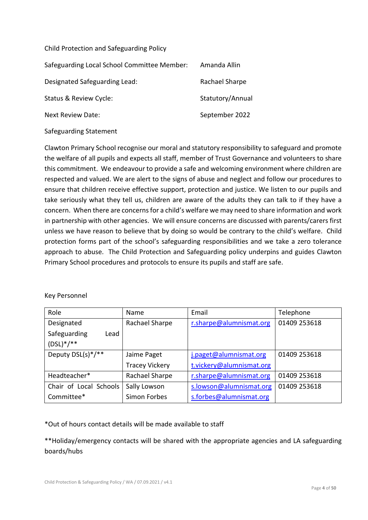Child Protection and Safeguarding Policy

| Safeguarding Local School Committee Member: | Amanda Allin     |
|---------------------------------------------|------------------|
| Designated Safeguarding Lead:               | Rachael Sharpe   |
| Status & Review Cycle:                      | Statutory/Annual |
| Next Review Date:                           | September 2022   |
|                                             |                  |

## Safeguarding Statement

Clawton Primary School recognise our moral and statutory responsibility to safeguard and promote the welfare of all pupils and expects all staff, member of Trust Governance and volunteers to share this commitment. We endeavour to provide a safe and welcoming environment where children are respected and valued. We are alert to the signs of abuse and neglect and follow our procedures to ensure that children receive effective support, protection and justice. We listen to our pupils and take seriously what they tell us, children are aware of the adults they can talk to if they have a concern. When there are concerns for a child's welfare we may need to share information and work in partnership with other agencies. We will ensure concerns are discussed with parents/carers first unless we have reason to believe that by doing so would be contrary to the child's welfare. Child protection forms part of the school's safeguarding responsibilities and we take a zero tolerance approach to abuse. The Child Protection and Safeguarding policy underpins and guides Clawton Primary School procedures and protocols to ensure its pupils and staff are safe.

#### Key Personnel

| Role                   | <b>Name</b>           | Email                    | Telephone    |
|------------------------|-----------------------|--------------------------|--------------|
| Designated             | Rachael Sharpe        | r.sharpe@alumnismat.org  | 01409 253618 |
| Safeguarding<br>Lead   |                       |                          |              |
| $(DSL)*/**$            |                       |                          |              |
| Deputy DSL(s)*/**      | Jaime Paget           | j.paget@alumnismat.org   | 01409 253618 |
|                        | <b>Tracey Vickery</b> | t.vickery@alumnismat.org |              |
| Headteacher*           | Rachael Sharpe        | r.sharpe@alumnismat.org  | 01409 253618 |
| Chair of Local Schools | Sally Lowson          | s.lowson@alumnismat.org  | 01409 253618 |
| Committee*             | Simon Forbes          | s.forbes@alumnismat.org  |              |

## \*Out of hours contact details will be made available to staff

\*\*Holiday/emergency contacts will be shared with the appropriate agencies and LA safeguarding boards/hubs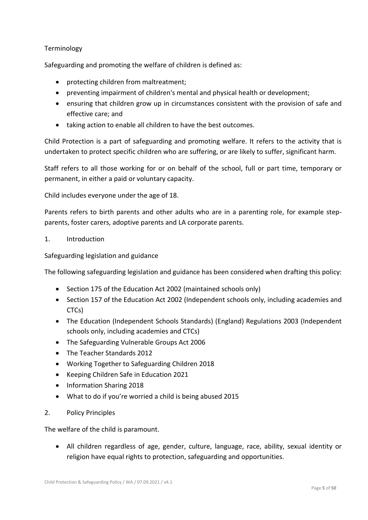## Terminology

Safeguarding and promoting the welfare of children is defined as:

- protecting children from maltreatment;
- preventing impairment of children's mental and physical health or development;
- ensuring that children grow up in circumstances consistent with the provision of safe and effective care; and
- taking action to enable all children to have the best outcomes.

Child Protection is a part of safeguarding and promoting welfare. It refers to the activity that is undertaken to protect specific children who are suffering, or are likely to suffer, significant harm.

Staff refers to all those working for or on behalf of the school, full or part time, temporary or permanent, in either a paid or voluntary capacity.

Child includes everyone under the age of 18.

Parents refers to birth parents and other adults who are in a parenting role, for example stepparents, foster carers, adoptive parents and LA corporate parents.

#### 1. Introduction

Safeguarding legislation and guidance

The following safeguarding legislation and guidance has been considered when drafting this policy:

- Section 175 of the Education Act 2002 (maintained schools only)
- Section 157 of the Education Act 2002 (Independent schools only, including academies and CTCs)
- The Education (Independent Schools Standards) (England) Regulations 2003 (Independent schools only, including academies and CTCs)
- The Safeguarding Vulnerable Groups Act 2006
- The Teacher Standards 2012
- Working Together to Safeguarding Children 2018
- Keeping Children Safe in Education 2021
- Information Sharing 2018
- What to do if you're worried a child is being abused 2015

#### 2. Policy Principles

The welfare of the child is paramount.

• All children regardless of age, gender, culture, language, race, ability, sexual identity or religion have equal rights to protection, safeguarding and opportunities.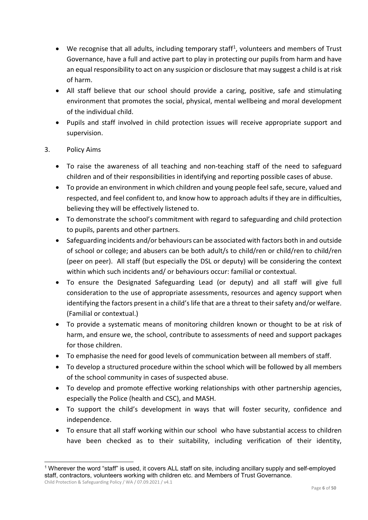- We recognise that all adults, including temporary staff<sup>[1](#page-5-0)</sup>, volunteers and members of Trust Governance, have a full and active part to play in protecting our pupils from harm and have an equal responsibility to act on any suspicion or disclosure that may suggest a child is at risk of harm.
- All staff believe that our school should provide a caring, positive, safe and stimulating environment that promotes the social, physical, mental wellbeing and moral development of the individual child.
- Pupils and staff involved in child protection issues will receive appropriate support and supervision.

## 3. Policy Aims

- To raise the awareness of all teaching and non-teaching staff of the need to safeguard children and of their responsibilities in identifying and reporting possible cases of abuse.
- To provide an environment in which children and young people feel safe, secure, valued and respected, and feel confident to, and know how to approach adults if they are in difficulties, believing they will be effectively listened to.
- To demonstrate the school's commitment with regard to safeguarding and child protection to pupils, parents and other partners.
- Safeguarding incidents and/or behaviours can be associated with factors both in and outside of school or college; and abusers can be both adult/s to child/ren or child/ren to child/ren (peer on peer). All staff (but especially the DSL or deputy) will be considering the context within which such incidents and/ or behaviours occur: familial or contextual.
- To ensure the Designated Safeguarding Lead (or deputy) and all staff will give full consideration to the use of appropriate assessments, resources and agency support when identifying the factors present in a child's life that are a threat to their safety and/or welfare. (Familial or contextual.)
- To provide a systematic means of monitoring children known or thought to be at risk of harm, and ensure we, the school, contribute to assessments of need and support packages for those children.
- To emphasise the need for good levels of communication between all members of staff.
- To develop a structured procedure within the school which will be followed by all members of the school community in cases of suspected abuse.
- To develop and promote effective working relationships with other partnership agencies, especially the Police (health and CSC), and MASH.
- To support the child's development in ways that will foster security, confidence and independence.
- To ensure that all staff working within our school who have substantial access to children have been checked as to their suitability, including verification of their identity,

<span id="page-5-0"></span>Child Protection & Safeguarding Policy / WA / 07.09.2021 / v4.1 1 Wherever the word "staff" is used, it covers ALL staff on site, including ancillary supply and self-employed staff, contractors, volunteers working with children etc. and Members of Trust Governance.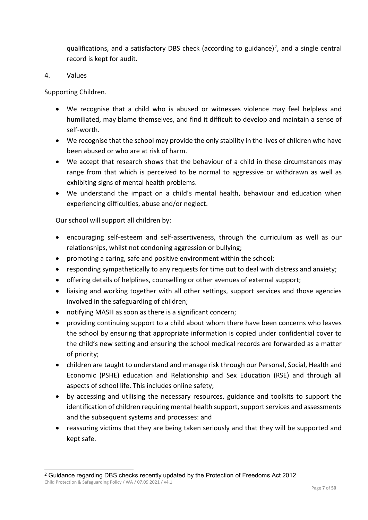qualifications, and a satisfactory DBS check (according to guidance)<sup>[2](#page-6-0)</sup>, and a single central record is kept for audit.

## 4. Values

Supporting Children.

- We recognise that a child who is abused or witnesses violence may feel helpless and humiliated, may blame themselves, and find it difficult to develop and maintain a sense of self-worth.
- We recognise that the school may provide the only stability in the lives of children who have been abused or who are at risk of harm.
- We accept that research shows that the behaviour of a child in these circumstances may range from that which is perceived to be normal to aggressive or withdrawn as well as exhibiting signs of mental health problems.
- We understand the impact on a child's mental health, behaviour and education when experiencing difficulties, abuse and/or neglect.

Our school will support all children by:

- encouraging self-esteem and self-assertiveness, through the curriculum as well as our relationships, whilst not condoning aggression or bullying;
- promoting a caring, safe and positive environment within the school;
- responding sympathetically to any requests for time out to deal with distress and anxiety;
- offering details of helplines, counselling or other avenues of external support;
- liaising and working together with all other settings, support services and those agencies involved in the safeguarding of children;
- notifying MASH as soon as there is a significant concern;
- providing continuing support to a child about whom there have been concerns who leaves the school by ensuring that appropriate information is copied under confidential cover to the child's new setting and ensuring the school medical records are forwarded as a matter of priority;
- children are taught to understand and manage risk through our Personal, Social, Health and Economic (PSHE) education and Relationship and Sex Education (RSE) and through all aspects of school life. This includes online safety;
- by accessing and utilising the necessary resources, guidance and toolkits to support the identification of children requiring mental health support, support services and assessments and the subsequent systems and processes: and
- reassuring victims that they are being taken seriously and that they will be supported and kept safe.

<span id="page-6-0"></span>Child Protection & Safeguarding Policy / WA / 07.09.2021 / v4.1 2 Guidance regarding DBS checks recently updated by the Protection of Freedoms Act 2012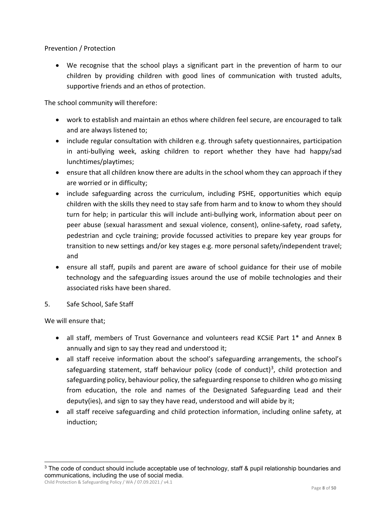## Prevention / Protection

• We recognise that the school plays a significant part in the prevention of harm to our children by providing children with good lines of communication with trusted adults, supportive friends and an ethos of protection.

The school community will therefore:

- work to establish and maintain an ethos where children feel secure, are encouraged to talk and are always listened to;
- include regular consultation with children e.g. through safety questionnaires, participation in anti-bullying week, asking children to report whether they have had happy/sad lunchtimes/playtimes;
- ensure that all children know there are adults in the school whom they can approach if they are worried or in difficulty;
- include safeguarding across the curriculum, including PSHE, opportunities which equip children with the skills they need to stay safe from harm and to know to whom they should turn for help; in particular this will include anti-bullying work, information about peer on peer abuse (sexual harassment and sexual violence, consent), online-safety, road safety, pedestrian and cycle training; provide focussed activities to prepare key year groups for transition to new settings and/or key stages e.g. more personal safety/independent travel; and
- ensure all staff, pupils and parent are aware of school guidance for their use of mobile technology and the safeguarding issues around the use of mobile technologies and their associated risks have been shared.
- 5. Safe School, Safe Staff

We will ensure that;

- all staff, members of Trust Governance and volunteers read KCSiE Part 1<sup>\*</sup> and Annex B annually and sign to say they read and understood it;
- all staff receive information about the school's safeguarding arrangements, the school's safeguarding statement, staff behaviour policy (code of conduct)<sup>3</sup>, child protection and safeguarding policy, behaviour policy, the safeguarding response to children who go missing from education, the role and names of the Designated Safeguarding Lead and their deputy(ies), and sign to say they have read, understood and will abide by it;
- all staff receive safeguarding and child protection information, including online safety, at induction;

Child Protection & Safeguarding Policy / WA / 07.09.2021 / v4.1

<span id="page-7-0"></span><sup>&</sup>lt;sup>3</sup> The code of conduct should include acceptable use of technology, staff & pupil relationship boundaries and communications, including the use of social media.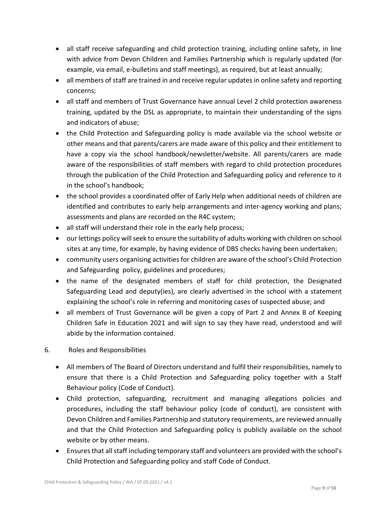- all staff receive safeguarding and child protection training, including online safety, in line with advice from Devon Children and Families Partnership which is regularly updated (for example, via email, e-bulletins and staff meetings), as required, but at least annually;
- all members of staff are trained in and receive regular updates in online safety and reporting concerns;
- all staff and members of Trust Governance have annual Level 2 child protection awareness training, updated by the DSL as appropriate, to maintain their understanding of the signs and indicators of abuse;
- the Child Protection and Safeguarding policy is made available via the school website or other means and that parents/carers are made aware of this policy and their entitlement to have a copy via the school handbook/newsletter/website. All parents/carers are made aware of the responsibilities of staff members with regard to child protection procedures through the publication of the Child Protection and Safeguarding policy and reference to it in the school's handbook;
- the school provides a coordinated offer of Early Help when additional needs of children are identified and contributes to early help arrangements and inter-agency working and plans; assessments and plans are recorded on the R4C system;
- all staff will understand their role in the early help process;
- our lettings policy will seek to ensure the suitability of adults working with children on school sites at any time, for example, by having evidence of DBS checks having been undertaken;
- community users organising activities for children are aware of the school's Child Protection and Safeguarding policy, guidelines and procedures;
- the name of the designated members of staff for child protection, the Designated Safeguarding Lead and deputy(ies), are clearly advertised in the school with a statement explaining the school's role in referring and monitoring cases of suspected abuse; and
- all members of Trust Governance will be given a copy of Part 2 and Annex B of Keeping Children Safe in Education 2021 and will sign to say they have read, understood and will abide by the information contained.

## 6. Roles and Responsibilities

- All members of The Board of Directors understand and fulfil their responsibilities, namely to ensure that there is a Child Protection and Safeguarding policy together with a Staff Behaviour policy (Code of Conduct).
- Child protection, safeguarding, recruitment and managing allegations policies and procedures, including the staff behaviour policy (code of conduct), are consistent with Devon Children and Families Partnership and statutory requirements, are reviewed annually and that the Child Protection and Safeguarding policy is publicly available on the school website or by other means.
- Ensures that all staff including temporary staff and volunteers are provided with the school's Child Protection and Safeguarding policy and staff Code of Conduct.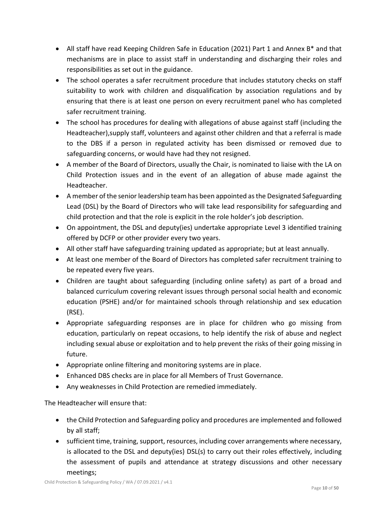- All staff have read Keeping Children Safe in Education (2021) Part 1 and Annex B\* and that mechanisms are in place to assist staff in understanding and discharging their roles and responsibilities as set out in the guidance.
- The school operates a safer recruitment procedure that includes statutory checks on staff suitability to work with children and disqualification by association regulations and by ensuring that there is at least one person on every recruitment panel who has completed safer recruitment training.
- The school has procedures for dealing with allegations of abuse against staff (including the Headteacher),supply staff, volunteers and against other children and that a referral is made to the DBS if a person in regulated activity has been dismissed or removed due to safeguarding concerns, or would have had they not resigned.
- A member of the Board of Directors, usually the Chair, is nominated to liaise with the LA on Child Protection issues and in the event of an allegation of abuse made against the Headteacher.
- A member of the senior leadership team has been appointed as the Designated Safeguarding Lead (DSL) by the Board of Directors who will take lead responsibility for safeguarding and child protection and that the role is explicit in the role holder's job description.
- On appointment, the DSL and deputy(ies) undertake appropriate Level 3 identified training offered by DCFP or other provider every two years.
- All other staff have safeguarding training updated as appropriate; but at least annually.
- At least one member of the Board of Directors has completed safer recruitment training to be repeated every five years.
- Children are taught about safeguarding (including online safety) as part of a broad and balanced curriculum covering relevant issues through personal social health and economic education (PSHE) and/or for maintained schools through relationship and sex education (RSE).
- Appropriate safeguarding responses are in place for children who go missing from education, particularly on repeat occasions, to help identify the risk of abuse and neglect including sexual abuse or exploitation and to help prevent the risks of their going missing in future.
- Appropriate online filtering and monitoring systems are in place.
- Enhanced DBS checks are in place for all Members of Trust Governance.
- Any weaknesses in Child Protection are remedied immediately.

The Headteacher will ensure that:

- the Child Protection and Safeguarding policy and procedures are implemented and followed by all staff;
- sufficient time, training, support, resources, including cover arrangements where necessary, is allocated to the DSL and deputy(ies) DSL(s) to carry out their roles effectively, including the assessment of pupils and attendance at strategy discussions and other necessary meetings;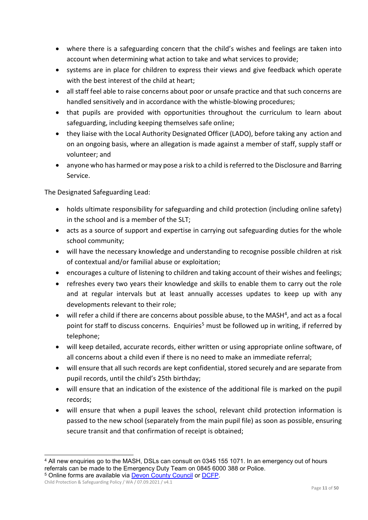- where there is a safeguarding concern that the child's wishes and feelings are taken into account when determining what action to take and what services to provide;
- systems are in place for children to express their views and give feedback which operate with the best interest of the child at heart;
- all staff feel able to raise concerns about poor or unsafe practice and that such concerns are handled sensitively and in accordance with the whistle-blowing procedures;
- that pupils are provided with opportunities throughout the curriculum to learn about safeguarding, including keeping themselves safe online;
- they liaise with the Local Authority Designated Officer (LADO), before taking any action and on an ongoing basis, where an allegation is made against a member of staff, supply staff or volunteer; and
- anyone who has harmed or may pose a risk to a child is referred to the Disclosure and Barring Service.

The Designated Safeguarding Lead:

- holds ultimate responsibility for safeguarding and child protection (including online safety) in the school and is a member of the SLT;
- acts as a source of support and expertise in carrying out safeguarding duties for the whole school community;
- will have the necessary knowledge and understanding to recognise possible children at risk of contextual and/or familial abuse or exploitation;
- encourages a culture of listening to children and taking account of their wishes and feelings;
- refreshes every two years their knowledge and skills to enable them to carry out the role and at regular intervals but at least annually accesses updates to keep up with any developments relevant to their role;
- will refer a child if there are concerns about possible abuse, to the MASH<sup>4</sup>, and act as a focal point for staff to discuss concerns. Enquiries<sup>[5](#page-10-1)</sup> must be followed up in writing, if referred by telephone;
- will keep detailed, accurate records, either written or using appropriate online software, of all concerns about a child even if there is no need to make an immediate referral;
- will ensure that all such records are kept confidential, stored securely and are separate from pupil records, until the child's 25th birthday;
- will ensure that an indication of the existence of the additional file is marked on the pupil records;
- will ensure that when a pupil leaves the school, relevant child protection information is passed to the new school (separately from the main pupil file) as soon as possible, ensuring secure transit and that confirmation of receipt is obtained;

<span id="page-10-0"></span> <sup>4</sup> All new enquiries go to the MASH, DSLs can consult on 0345 155 1071. In an emergency out of hours referrals can be made to the Emergency Duty Team on 0845 6000 388 or Police. <sup>5</sup> Online forms are available via **Devon County Council or DCFP**.

<span id="page-10-1"></span>Child Protection & Safeguarding Policy / WA / 07.09.2021 / v4.1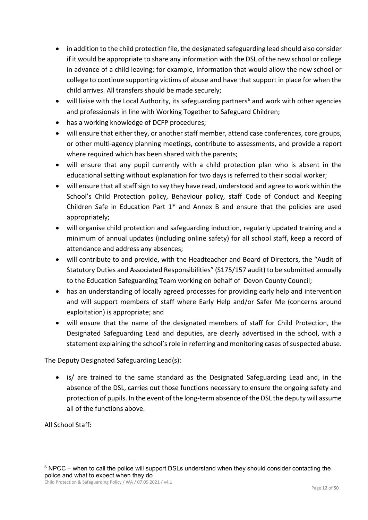- in addition to the child protection file, the designated safeguarding lead should also consider if it would be appropriate to share any information with the DSL of the new school or college in advance of a child leaving; for example, information that would allow the new school or college to continue supporting victims of abuse and have that support in place for when the child arrives. All transfers should be made securely;
- will liaise with the Local Authority, its safeguarding partners<sup>[6](#page-11-0)</sup> and work with other agencies and professionals in line with Working Together to Safeguard Children;
- has a working knowledge of DCFP procedures;
- will ensure that either they, or another staff member, attend case conferences, core groups, or other multi-agency planning meetings, contribute to assessments, and provide a report where required which has been shared with the parents;
- will ensure that any pupil currently with a child protection plan who is absent in the educational setting without explanation for two days is referred to their social worker;
- will ensure that all staff sign to say they have read, understood and agree to work within the School's Child Protection policy, Behaviour policy, staff Code of Conduct and Keeping Children Safe in Education Part 1\* and Annex B and ensure that the policies are used appropriately;
- will organise child protection and safeguarding induction, regularly updated training and a minimum of annual updates (including online safety) for all school staff, keep a record of attendance and address any absences;
- will contribute to and provide, with the Headteacher and Board of Directors, the "Audit of Statutory Duties and Associated Responsibilities" (S175/157 audit) to be submitted annually to the Education Safeguarding Team working on behalf of Devon County Council;
- has an understanding of locally agreed processes for providing early help and intervention and will support members of staff where Early Help and/or Safer Me (concerns around exploitation) is appropriate; and
- will ensure that the name of the designated members of staff for Child Protection, the Designated Safeguarding Lead and deputies, are clearly advertised in the school, with a statement explaining the school's role in referring and monitoring cases of suspected abuse.

The Deputy Designated Safeguarding Lead(s):

• is/ are trained to the same standard as the Designated Safeguarding Lead and, in the absence of the DSL, carries out those functions necessary to ensure the ongoing safety and protection of pupils. In the event of the long-term absence of the DSL the deputy will assume all of the functions above.

All School Staff:

Child Protection & Safeguarding Policy / WA / 07.09.2021 / v4.1

<span id="page-11-0"></span> $6$  NPCC – when to call the police will support DSLs understand when they should consider contacting the police and what to expect when they do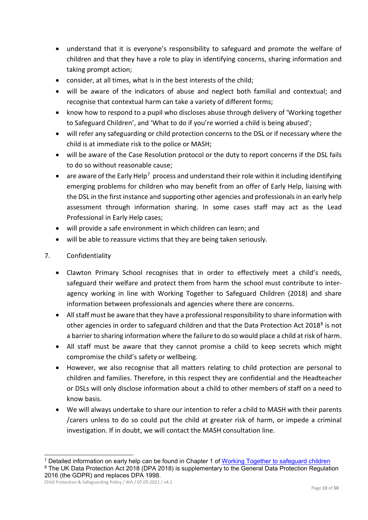- understand that it is everyone's responsibility to safeguard and promote the welfare of children and that they have a role to play in identifying concerns, sharing information and taking prompt action;
- consider, at all times, what is in the best interests of the child;
- will be aware of the indicators of abuse and neglect both familial and contextual; and recognise that contextual harm can take a variety of different forms;
- know how to respond to a pupil who discloses abuse through delivery of 'Working together to Safeguard Children', and 'What to do if you're worried a child is being abused';
- will refer any safeguarding or child protection concerns to the DSL or if necessary where the child is at immediate risk to the police or MASH;
- will be aware of the Case Resolution protocol or the duty to report concerns if the DSL fails to do so without reasonable cause;
- are aware of the Early Help<sup>7</sup> process and understand their role within it including identifying emerging problems for children who may benefit from an offer of Early Help, liaising with the DSL in the first instance and supporting other agencies and professionals in an early help assessment through information sharing. In some cases staff may act as the Lead Professional in Early Help cases;
- will provide a safe environment in which children can learn; and
- will be able to reassure victims that they are being taken seriously.
- 7. Confidentiality
	- Clawton Primary School recognises that in order to effectively meet a child's needs, safeguard their welfare and protect them from harm the school must contribute to interagency working in line with Working Together to Safeguard Children (2018) and share information between professionals and agencies where there are concerns.
	- All staff must be aware that they have a professional responsibility to share information with other agencies in order to safeguard children and that the Data Protection Act 2018[8](#page-12-1) is not a barrier to sharing information where the failure to do so would place a child at risk of harm.
	- All staff must be aware that they cannot promise a child to keep secrets which might compromise the child's safety or wellbeing.
	- However, we also recognise that all matters relating to child protection are personal to children and families. Therefore, in this respect they are confidential and the Headteacher or DSLs will only disclose information about a child to other members of staff on a need to know basis.
	- We will always undertake to share our intention to refer a child to MASH with their parents /carers unless to do so could put the child at greater risk of harm, or impede a criminal investigation. If in doubt, we will contact the MASH consultation line.

<span id="page-12-1"></span><span id="page-12-0"></span> <sup>7</sup> Detailed information on early help can be found in Chapter 1 of [Working Together to safeguard children](https://www.gov.uk/government/uploads/system/uploads/attachment_data/file/592101/Working_Together_to_Safeguard_Children_20170213.pdf) <sup>8</sup> The UK Data Protection Act 2018 (DPA 2018) is supplementary to the General Data Protection Regulation 2016 (the GDPR) and replaces DPA 1998.

Child Protection & Safeguarding Policy / WA / 07.09.2021 / v4.1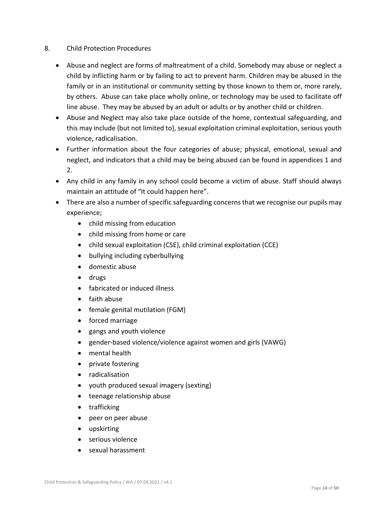## 8. Child Protection Procedures

- Abuse and neglect are forms of maltreatment of a child. Somebody may abuse or neglect a child by inflicting harm or by failing to act to prevent harm. Children may be abused in the family or in an institutional or community setting by those known to them or, more rarely, by others. Abuse can take place wholly online, or technology may be used to facilitate off line abuse. They may be abused by an adult or adults or by another child or children.
- Abuse and Neglect may also take place outside of the home, contextual safeguarding, and this may include (but not limited to), sexual exploitation criminal exploitation, serious youth violence, radicalisation.
- Further information about the four categories of abuse; physical, emotional, sexual and neglect, and indicators that a child may be being abused can be found in appendices 1 and 2.
- Any child in any family in any school could become a victim of abuse. Staff should always maintain an attitude of "It could happen here".
- There are also a number of specific safeguarding concerns that we recognise our pupils may experience;
	- child missing from education
	- child missing from home or care
	- child sexual exploitation (CSE), child criminal exploitation (CCE)
	- bullying including cyberbullying
	- domestic abuse
	- drugs
	- fabricated or induced illness
	- faith abuse
	- female genital mutilation (FGM)
	- forced marriage
	- gangs and youth violence
	- gender-based violence/violence against women and girls (VAWG)
	- mental health
	- private fostering
	- radicalisation
	- youth produced sexual imagery (sexting)
	- teenage relationship abuse
	- trafficking
	- peer on peer abuse
	- upskirting
	- serious violence
	- sexual harassment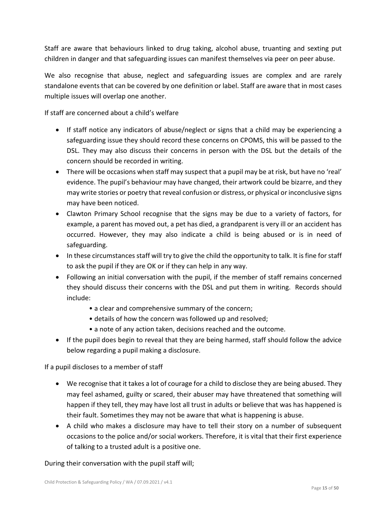Staff are aware that behaviours linked to drug taking, alcohol abuse, truanting and sexting put children in danger and that safeguarding issues can manifest themselves via peer on peer abuse.

We also recognise that abuse, neglect and safeguarding issues are complex and are rarely standalone events that can be covered by one definition or label. Staff are aware that in most cases multiple issues will overlap one another.

If staff are concerned about a child's welfare

- If staff notice any indicators of abuse/neglect or signs that a child may be experiencing a safeguarding issue they should record these concerns on CPOMS, this will be passed to the DSL. They may also discuss their concerns in person with the DSL but the details of the concern should be recorded in writing.
- There will be occasions when staff may suspect that a pupil may be at risk, but have no 'real' evidence. The pupil's behaviour may have changed, their artwork could be bizarre, and they may write stories or poetry that reveal confusion or distress, or physical or inconclusive signs may have been noticed.
- Clawton Primary School recognise that the signs may be due to a variety of factors, for example, a parent has moved out, a pet has died, a grandparent is very ill or an accident has occurred. However, they may also indicate a child is being abused or is in need of safeguarding.
- In these circumstances staff will try to give the child the opportunity to talk. It is fine for staff to ask the pupil if they are OK or if they can help in any way.
- Following an initial conversation with the pupil, if the member of staff remains concerned they should discuss their concerns with the DSL and put them in writing. Records should include:
	- a clear and comprehensive summary of the concern;
	- details of how the concern was followed up and resolved;
	- a note of any action taken, decisions reached and the outcome.
- If the pupil does begin to reveal that they are being harmed, staff should follow the advice below regarding a pupil making a disclosure.

If a pupil discloses to a member of staff

- We recognise that it takes a lot of courage for a child to disclose they are being abused. They may feel ashamed, guilty or scared, their abuser may have threatened that something will happen if they tell, they may have lost all trust in adults or believe that was has happened is their fault. Sometimes they may not be aware that what is happening is abuse.
- A child who makes a disclosure may have to tell their story on a number of subsequent occasions to the police and/or social workers. Therefore, it is vital that their first experience of talking to a trusted adult is a positive one.

During their conversation with the pupil staff will;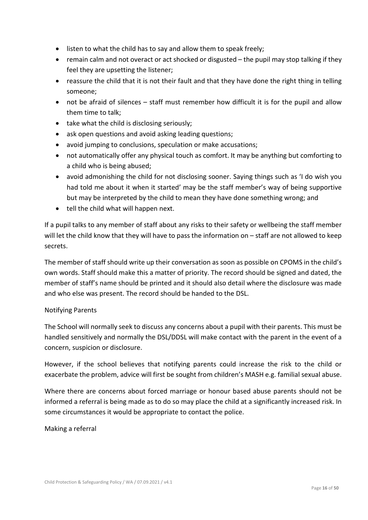- listen to what the child has to say and allow them to speak freely;
- remain calm and not overact or act shocked or disgusted the pupil may stop talking if they feel they are upsetting the listener;
- reassure the child that it is not their fault and that they have done the right thing in telling someone;
- not be afraid of silences staff must remember how difficult it is for the pupil and allow them time to talk;
- take what the child is disclosing seriously;
- ask open questions and avoid asking leading questions;
- avoid jumping to conclusions, speculation or make accusations;
- not automatically offer any physical touch as comfort. It may be anything but comforting to a child who is being abused;
- avoid admonishing the child for not disclosing sooner. Saying things such as 'I do wish you had told me about it when it started' may be the staff member's way of being supportive but may be interpreted by the child to mean they have done something wrong; and
- tell the child what will happen next.

If a pupil talks to any member of staff about any risks to their safety or wellbeing the staff member will let the child know that they will have to pass the information on – staff are not allowed to keep secrets.

The member of staff should write up their conversation as soon as possible on CPOMS in the child's own words. Staff should make this a matter of priority. The record should be signed and dated, the member of staff's name should be printed and it should also detail where the disclosure was made and who else was present. The record should be handed to the DSL.

## Notifying Parents

The School will normally seek to discuss any concerns about a pupil with their parents. This must be handled sensitively and normally the DSL/DDSL will make contact with the parent in the event of a concern, suspicion or disclosure.

However, if the school believes that notifying parents could increase the risk to the child or exacerbate the problem, advice will first be sought from children's MASH e.g. familial sexual abuse.

Where there are concerns about forced marriage or honour based abuse parents should not be informed a referral is being made as to do so may place the child at a significantly increased risk. In some circumstances it would be appropriate to contact the police.

#### Making a referral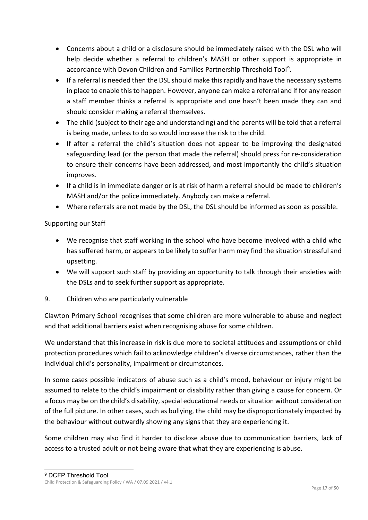- Concerns about a child or a disclosure should be immediately raised with the DSL who will help decide whether a referral to children's MASH or other support is appropriate in accordance with Devon Children and Families Partnership Threshold Tool[9.](#page-16-0)
- If a referral is needed then the DSL should make this rapidly and have the necessary systems in place to enable this to happen. However, anyone can make a referral and if for any reason a staff member thinks a referral is appropriate and one hasn't been made they can and should consider making a referral themselves.
- The child (subject to their age and understanding) and the parents will be told that a referral is being made, unless to do so would increase the risk to the child.
- If after a referral the child's situation does not appear to be improving the designated safeguarding lead (or the person that made the referral) should press for re-consideration to ensure their concerns have been addressed, and most importantly the child's situation improves.
- If a child is in immediate danger or is at risk of harm a referral should be made to children's MASH and/or the police immediately. Anybody can make a referral.
- Where referrals are not made by the DSL, the DSL should be informed as soon as possible.

## Supporting our Staff

- We recognise that staff working in the school who have become involved with a child who has suffered harm, or appears to be likely to suffer harm may find the situation stressful and upsetting.
- We will support such staff by providing an opportunity to talk through their anxieties with the DSLs and to seek further support as appropriate.
- 9. Children who are particularly vulnerable

Clawton Primary School recognises that some children are more vulnerable to abuse and neglect and that additional barriers exist when recognising abuse for some children.

We understand that this increase in risk is due more to societal attitudes and assumptions or child protection procedures which fail to acknowledge children's diverse circumstances, rather than the individual child's personality, impairment or circumstances.

In some cases possible indicators of abuse such as a child's mood, behaviour or injury might be assumed to relate to the child's impairment or disability rather than giving a cause for concern. Or a focus may be on the child's disability, special educational needs or situation without consideration of the full picture. In other cases, such as bullying, the child may be disproportionately impacted by the behaviour without outwardly showing any signs that they are experiencing it.

Some children may also find it harder to disclose abuse due to communication barriers, lack of access to a trusted adult or not being aware that what they are experiencing is abuse.

<span id="page-16-0"></span>Child Protection & Safeguarding Policy / WA / 07.09.2021 / v4.1 9 DCFP Threshold Tool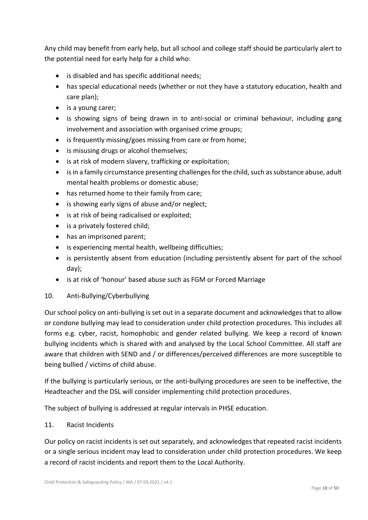Any child may benefit from early help, but all school and college staff should be particularly alert to the potential need for early help for a child who:

- is disabled and has specific additional needs;
- has special educational needs (whether or not they have a statutory education, health and care plan);
- is a young carer;
- is showing signs of being drawn in to anti-social or criminal behaviour, including gang involvement and association with organised crime groups;
- is frequently missing/goes missing from care or from home;
- is misusing drugs or alcohol themselves;
- is at risk of modern slavery, trafficking or exploitation;
- is in a family circumstance presenting challenges for the child, such as substance abuse, adult mental health problems or domestic abuse;
- has returned home to their family from care;
- is showing early signs of abuse and/or neglect;
- is at risk of being radicalised or exploited;
- is a privately fostered child;
- has an imprisoned parent;
- is experiencing mental health, wellbeing difficulties;
- is persistently absent from education (including persistently absent for part of the school day);
- is at risk of 'honour' based abuse such as FGM or Forced Marriage
- 10. Anti-Bullying/Cyberbullying

Our school policy on anti-bullying is set out in a separate document and acknowledges that to allow or condone bullying may lead to consideration under child protection procedures. This includes all forms e.g. cyber, racist, homophobic and gender related bullying. We keep a record of known bullying incidents which is shared with and analysed by the Local School Committee. All staff are aware that children with SEND and / or differences/perceived differences are more susceptible to being bullied / victims of child abuse.

If the bullying is particularly serious, or the anti-bullying procedures are seen to be ineffective, the Headteacher and the DSL will consider implementing child protection procedures.

The subject of bullying is addressed at regular intervals in PHSE education.

#### 11. Racist Incidents

Our policy on racist incidents is set out separately, and acknowledges that repeated racist incidents or a single serious incident may lead to consideration under child protection procedures. We keep a record of racist incidents and report them to the Local Authority.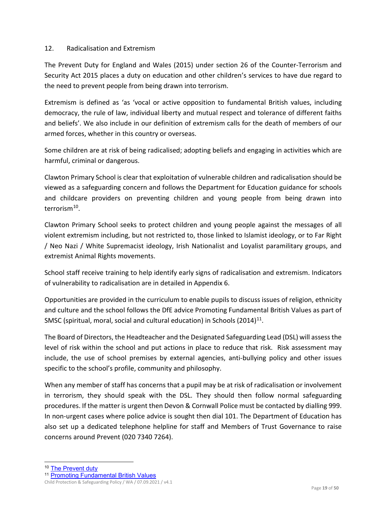#### 12. Radicalisation and Extremism

The Prevent Duty for England and Wales (2015) under section 26 of the Counter-Terrorism and Security Act 2015 places a duty on education and other children's services to have due regard to the need to prevent people from being drawn into terrorism.

Extremism is defined as 'as 'vocal or active opposition to fundamental British values, including democracy, the rule of law, individual liberty and mutual respect and tolerance of different faiths and beliefs'. We also include in our definition of extremism calls for the death of members of our armed forces, whether in this country or overseas.

Some children are at risk of being radicalised; adopting beliefs and engaging in activities which are harmful, criminal or dangerous.

Clawton Primary School is clear that exploitation of vulnerable children and radicalisation should be viewed as a safeguarding concern and follows the Department for Education guidance for schools and childcare providers on preventing children and young people from being drawn into terroris[m10.](#page-18-0)

Clawton Primary School seeks to protect children and young people against the messages of all violent extremism including, but not restricted to, those linked to Islamist ideology, or to Far Right / Neo Nazi / White Supremacist ideology, Irish Nationalist and Loyalist paramilitary groups, and extremist Animal Rights movements.

School staff receive training to help identify early signs of radicalisation and extremism. Indicators of vulnerability to radicalisation are in detailed in Appendix 6.

Opportunities are provided in the curriculum to enable pupils to discuss issues of religion, ethnicity and culture and the school follows the DfE advice Promoting Fundamental British Values as part of SMSC (spiritual, moral, social and cultural education) in Schools (2014)<sup>11</sup>.

The Board of Directors, the Headteacher and the Designated Safeguarding Lead (DSL) will assess the level of risk within the school and put actions in place to reduce that risk. Risk assessment may include, the use of school premises by external agencies, anti-bullying policy and other issues specific to the school's profile, community and philosophy.

When any member of staff has concerns that a pupil may be at risk of radicalisation or involvement in terrorism, they should speak with the DSL. They should then follow normal safeguarding procedures. If the matter is urgent then Devon & Cornwall Police must be contacted by dialling 999. In non-urgent cases where police advice is sought then dial 101. The Department of Education has also set up a dedicated telephone helpline for staff and Members of Trust Governance to raise concerns around Prevent (020 7340 7264).

<span id="page-18-0"></span> <sup>10</sup> [The Prevent duty](https://www.gov.uk/government/uploads/system/uploads/attachment_data/file/439598/prevent-duty-departmental-advice-v6.pdf)

<span id="page-18-1"></span><sup>11</sup> [Promoting Fundamental British Values](https://www.gov.uk/government/uploads/system/uploads/attachment_data/file/380595/SMSC_Guidance_Maintained_Schools.pdf)

Child Protection & Safeguarding Policy / WA / 07.09.2021 / v4.1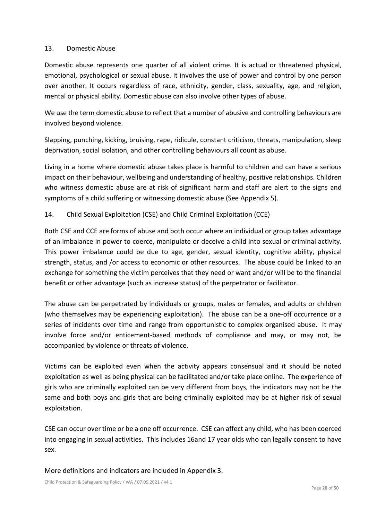#### 13. Domestic Abuse

Domestic abuse represents one quarter of all violent crime. It is actual or threatened physical, emotional, psychological or sexual abuse. It involves the use of power and control by one person over another. It occurs regardless of race, ethnicity, gender, class, sexuality, age, and religion, mental or physical ability. Domestic abuse can also involve other types of abuse.

We use the term domestic abuse to reflect that a number of abusive and controlling behaviours are involved beyond violence.

Slapping, punching, kicking, bruising, rape, ridicule, constant criticism, threats, manipulation, sleep deprivation, social isolation, and other controlling behaviours all count as abuse.

Living in a home where domestic abuse takes place is harmful to children and can have a serious impact on their behaviour, wellbeing and understanding of healthy, positive relationships. Children who witness domestic abuse are at risk of significant harm and staff are alert to the signs and symptoms of a child suffering or witnessing domestic abuse (See Appendix 5).

## 14. Child Sexual Exploitation (CSE) and Child Criminal Exploitation (CCE)

Both CSE and CCE are forms of abuse and both occur where an individual or group takes advantage of an imbalance in power to coerce, manipulate or deceive a child into sexual or criminal activity. This power imbalance could be due to age, gender, sexual identity, cognitive ability, physical strength, status, and /or access to economic or other resources. The abuse could be linked to an exchange for something the victim perceives that they need or want and/or will be to the financial benefit or other advantage (such as increase status) of the perpetrator or facilitator.

The abuse can be perpetrated by individuals or groups, males or females, and adults or children (who themselves may be experiencing exploitation). The abuse can be a one-off occurrence or a series of incidents over time and range from opportunistic to complex organised abuse. It may involve force and/or enticement-based methods of compliance and may, or may not, be accompanied by violence or threats of violence.

Victims can be exploited even when the activity appears consensual and it should be noted exploitation as well as being physical can be facilitated and/or take place online. The experience of girls who are criminally exploited can be very different from boys, the indicators may not be the same and both boys and girls that are being criminally exploited may be at higher risk of sexual exploitation.

CSE can occur over time or be a one off occurrence. CSE can affect any child, who has been coerced into engaging in sexual activities. This includes 16and 17 year olds who can legally consent to have sex.

More definitions and indicators are included in Appendix 3.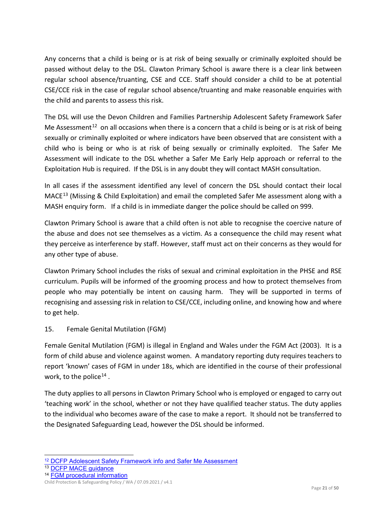Any concerns that a child is being or is at risk of being sexually or criminally exploited should be passed without delay to the DSL. Clawton Primary School is aware there is a clear link between regular school absence/truanting, CSE and CCE. Staff should consider a child to be at potential CSE/CCE risk in the case of regular school absence/truanting and make reasonable enquiries with the child and parents to assess this risk.

The DSL will use the Devon Children and Families Partnership Adolescent Safety Framework Safer Me Assessment<sup>[12](#page-20-0)</sup> on all occasions when there is a concern that a child is being or is at risk of being sexually or criminally exploited or where indicators have been observed that are consistent with a child who is being or who is at risk of being sexually or criminally exploited. The Safer Me Assessment will indicate to the DSL whether a Safer Me Early Help approach or referral to the Exploitation Hub is required. If the DSL is in any doubt they will contact MASH consultation.

In all cases if the assessment identified any level of concern the DSL should contact their local MACE<sup>[13](#page-20-1)</sup> (Missing & Child Exploitation) and email the completed Safer Me assessment along with a MASH enquiry form. If a child is in immediate danger the police should be called on 999.

Clawton Primary School is aware that a child often is not able to recognise the coercive nature of the abuse and does not see themselves as a victim. As a consequence the child may resent what they perceive as interference by staff. However, staff must act on their concerns as they would for any other type of abuse.

Clawton Primary School includes the risks of sexual and criminal exploitation in the PHSE and RSE curriculum. Pupils will be informed of the grooming process and how to protect themselves from people who may potentially be intent on causing harm. They will be supported in terms of recognising and assessing risk in relation to CSE/CCE, including online, and knowing how and where to get help.

## 15. Female Genital Mutilation (FGM)

Female Genital Mutilation (FGM) is illegal in England and Wales under the FGM Act (2003). It is a form of child abuse and violence against women. A mandatory reporting duty requires teachers to report 'known' cases of FGM in under 18s, which are identified in the course of their professional work, to the police<sup>[14](#page-20-2)</sup>.

The duty applies to all persons in Clawton Primary School who is employed or engaged to carry out 'teaching work' in the school, whether or not they have qualified teacher status. The duty applies to the individual who becomes aware of the case to make a report. It should not be transferred to the Designated Safeguarding Lead, however the DSL should be informed.

<span id="page-20-1"></span><sup>13</sup> [DCFP MACE guidance](https://www.dcfp.org.uk/child-abuse/child-sexual-exploitation/child-exploitation-information-for-professionals/)

<span id="page-20-0"></span> <sup>12</sup> [DCFP Adolescent Safety Framework info and Safer Me Assessment](https://www.dcfp.org.uk/training-and-resources/policies-and-procedures/adolescent-safety-framework-safer-me/)

<span id="page-20-2"></span><sup>14</sup> [FGM procedural information](https://www.gov.uk/government/uploads/system/uploads/attachment_data/file/573782/FGM_Mandatory_Reporting_-_procedural_information_nov16_FINAL.pdf)

Child Protection & Safeguarding Policy / WA / 07.09.2021 / v4.1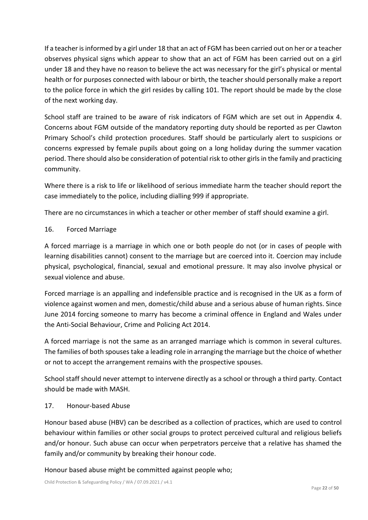If a teacher is informed by a girl under 18 that an act of FGM has been carried out on her or a teacher observes physical signs which appear to show that an act of FGM has been carried out on a girl under 18 and they have no reason to believe the act was necessary for the girl's physical or mental health or for purposes connected with labour or birth, the teacher should personally make a report to the police force in which the girl resides by calling 101. The report should be made by the close of the next working day.

School staff are trained to be aware of risk indicators of FGM which are set out in Appendix 4. Concerns about FGM outside of the mandatory reporting duty should be reported as per Clawton Primary School's child protection procedures. Staff should be particularly alert to suspicions or concerns expressed by female pupils about going on a long holiday during the summer vacation period. There should also be consideration of potential risk to other girls in the family and practicing community.

Where there is a risk to life or likelihood of serious immediate harm the teacher should report the case immediately to the police, including dialling 999 if appropriate.

There are no circumstances in which a teacher or other member of staff should examine a girl.

## 16. Forced Marriage

A forced marriage is a marriage in which one or both people do not (or in cases of people with learning disabilities cannot) consent to the marriage but are coerced into it. Coercion may include physical, psychological, financial, sexual and emotional pressure. It may also involve physical or sexual violence and abuse.

Forced marriage is an appalling and indefensible practice and is recognised in the UK as a form of violence against women and men, domestic/child abuse and a serious abuse of human rights. Since June 2014 forcing someone to marry has become a criminal offence in England and Wales under the Anti-Social Behaviour, Crime and Policing Act 2014.

A forced marriage is not the same as an arranged marriage which is common in several cultures. The families of both spouses take a leading role in arranging the marriage but the choice of whether or not to accept the arrangement remains with the prospective spouses.

School staff should never attempt to intervene directly as a school or through a third party. Contact should be made with MASH.

## 17. Honour-based Abuse

Honour based abuse (HBV) can be described as a collection of practices, which are used to control behaviour within families or other social groups to protect perceived cultural and religious beliefs and/or honour. Such abuse can occur when perpetrators perceive that a relative has shamed the family and/or community by breaking their honour code.

Honour based abuse might be committed against people who;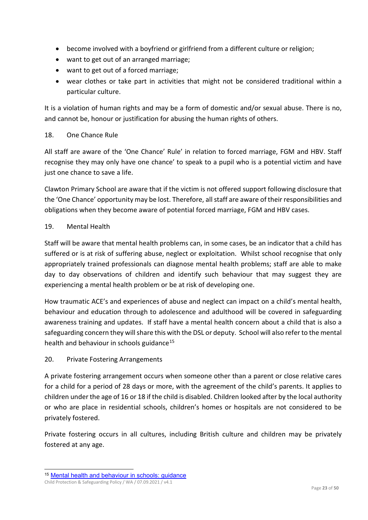- become involved with a boyfriend or girlfriend from a different culture or religion;
- want to get out of an arranged marriage;
- want to get out of a forced marriage;
- wear clothes or take part in activities that might not be considered traditional within a particular culture.

It is a violation of human rights and may be a form of domestic and/or sexual abuse. There is no, and cannot be, honour or justification for abusing the human rights of others.

#### 18. One Chance Rule

All staff are aware of the 'One Chance' Rule' in relation to forced marriage, FGM and HBV. Staff recognise they may only have one chance' to speak to a pupil who is a potential victim and have just one chance to save a life.

Clawton Primary School are aware that if the victim is not offered support following disclosure that the 'One Chance' opportunity may be lost. Therefore, all staff are aware of their responsibilities and obligations when they become aware of potential forced marriage, FGM and HBV cases.

## 19. Mental Health

Staff will be aware that mental health problems can, in some cases, be an indicator that a child has suffered or is at risk of suffering abuse, neglect or exploitation. Whilst school recognise that only appropriately trained professionals can diagnose mental health problems; staff are able to make day to day observations of children and identify such behaviour that may suggest they are experiencing a mental health problem or be at risk of developing one.

How traumatic ACE's and experiences of abuse and neglect can impact on a child's mental health, behaviour and education through to adolescence and adulthood will be covered in safeguarding awareness training and updates. If staff have a mental health concern about a child that is also a safeguarding concern they will share this with the DSL or deputy. School will also refer to the mental health and behaviour in schools guidance<sup>[15](#page-22-0)</sup>

## 20. Private Fostering Arrangements

A private fostering arrangement occurs when someone other than a parent or close relative cares for a child for a period of 28 days or more, with the agreement of the child's parents. It applies to children under the age of 16 or 18 if the child is disabled. Children looked after by the local authority or who are place in residential schools, children's homes or hospitals are not considered to be privately fostered.

Private fostering occurs in all cultures, including British culture and children may be privately fostered at any age.

<span id="page-22-0"></span> <sup>15</sup> [Mental health and behaviour in schools: guidance](https://www.gov.uk/government/publications/mental-health-and-behaviour-in-schools--2)

Child Protection & Safeguarding Policy / WA / 07.09.2021 / v4.1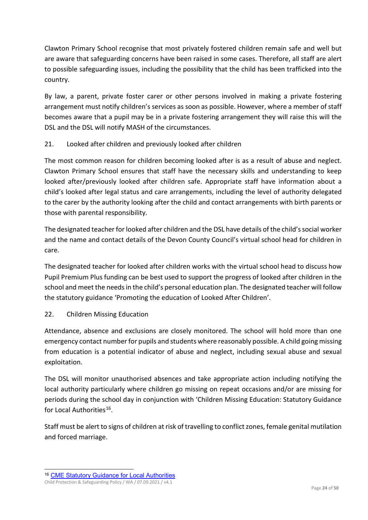Clawton Primary School recognise that most privately fostered children remain safe and well but are aware that safeguarding concerns have been raised in some cases. Therefore, all staff are alert to possible safeguarding issues, including the possibility that the child has been trafficked into the country.

By law, a parent, private foster carer or other persons involved in making a private fostering arrangement must notify children's services as soon as possible. However, where a member of staff becomes aware that a pupil may be in a private fostering arrangement they will raise this will the DSL and the DSL will notify MASH of the circumstances.

## 21. Looked after children and previously looked after children

The most common reason for children becoming looked after is as a result of abuse and neglect. Clawton Primary School ensures that staff have the necessary skills and understanding to keep looked after/previously looked after children safe. Appropriate staff have information about a child's looked after legal status and care arrangements, including the level of authority delegated to the carer by the authority looking after the child and contact arrangements with birth parents or those with parental responsibility.

The designated teacher for looked after children and the DSL have details of the child's social worker and the name and contact details of the Devon County Council's virtual school head for children in care.

The designated teacher for looked after children works with the virtual school head to discuss how Pupil Premium Plus funding can be best used to support the progress of looked after children in the school and meet the needs in the child's personal education plan. The designated teacher will follow the statutory guidance 'Promoting the education of Looked After Children'.

## 22. Children Missing Education

Attendance, absence and exclusions are closely monitored. The school will hold more than one emergency contact number for pupils and students where reasonably possible. A child going missing from education is a potential indicator of abuse and neglect, including sexual abuse and sexual exploitation.

The DSL will monitor unauthorised absences and take appropriate action including notifying the local authority particularly where children go missing on repeat occasions and/or are missing for periods during the school day in conjunction with 'Children Missing Education: Statutory Guidance for Local Authorities<sup>16</sup>.

Staff must be alert to signs of children at risk of travelling to conflict zones, female genital mutilation and forced marriage.

<span id="page-23-0"></span>Child Protection & Safeguarding Policy / WA / 07.09.2021 / v4.1 16 [CME Statutory Guidance for Local Authorities](https://www.gov.uk/government/uploads/system/uploads/attachment_data/file/550416/Children_Missing_Education_-_statutory_guidance.pdf)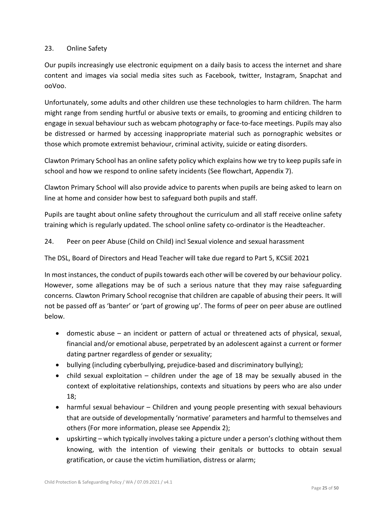## 23. Online Safety

Our pupils increasingly use electronic equipment on a daily basis to access the internet and share content and images via social media sites such as Facebook, twitter, Instagram, Snapchat and ooVoo.

Unfortunately, some adults and other children use these technologies to harm children. The harm might range from sending hurtful or abusive texts or emails, to grooming and enticing children to engage in sexual behaviour such as webcam photography or face-to-face meetings. Pupils may also be distressed or harmed by accessing inappropriate material such as pornographic websites or those which promote extremist behaviour, criminal activity, suicide or eating disorders.

Clawton Primary School has an online safety policy which explains how we try to keep pupils safe in school and how we respond to online safety incidents (See flowchart, Appendix 7).

Clawton Primary School will also provide advice to parents when pupils are being asked to learn on line at home and consider how best to safeguard both pupils and staff.

Pupils are taught about online safety throughout the curriculum and all staff receive online safety training which is regularly updated. The school online safety co-ordinator is the Headteacher.

24. Peer on peer Abuse (Child on Child) incl Sexual violence and sexual harassment

The DSL, Board of Directors and Head Teacher will take due regard to Part 5, KCSiE 2021

In most instances, the conduct of pupils towards each other will be covered by our behaviour policy. However, some allegations may be of such a serious nature that they may raise safeguarding concerns. Clawton Primary School recognise that children are capable of abusing their peers. It will not be passed off as 'banter' or 'part of growing up'. The forms of peer on peer abuse are outlined below.

- domestic abuse an incident or pattern of actual or threatened acts of physical, sexual, financial and/or emotional abuse, perpetrated by an adolescent against a current or former dating partner regardless of gender or sexuality;
- bullying (including cyberbullying, prejudice-based and discriminatory bullying);
- child sexual exploitation children under the age of 18 may be sexually abused in the context of exploitative relationships, contexts and situations by peers who are also under 18;
- harmful sexual behaviour Children and young people presenting with sexual behaviours that are outside of developmentally 'normative' parameters and harmful to themselves and others (For more information, please see Appendix 2);
- upskirting which typically involves taking a picture under a person's clothing without them knowing, with the intention of viewing their genitals or buttocks to obtain sexual gratification, or cause the victim humiliation, distress or alarm;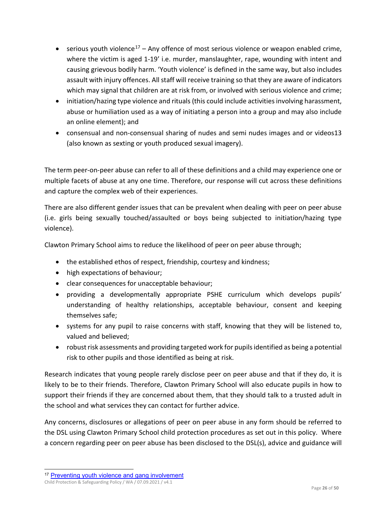- serious youth violence<sup>[17](#page-25-0)</sup> Any offence of most serious violence or weapon enabled crime, where the victim is aged 1-19' i.e. murder, manslaughter, rape, wounding with intent and causing grievous bodily harm. 'Youth violence' is defined in the same way, but also includes assault with injury offences. All staff will receive training so that they are aware of indicators which may signal that children are at risk from, or involved with serious violence and crime;
- initiation/hazing type violence and rituals (this could include activities involving harassment, abuse or humiliation used as a way of initiating a person into a group and may also include an online element); and
- consensual and non-consensual sharing of nudes and semi nudes images and or videos13 (also known as sexting or youth produced sexual imagery).

The term peer-on-peer abuse can refer to all of these definitions and a child may experience one or multiple facets of abuse at any one time. Therefore, our response will cut across these definitions and capture the complex web of their experiences.

There are also different gender issues that can be prevalent when dealing with peer on peer abuse (i.e. girls being sexually touched/assaulted or boys being subjected to initiation/hazing type violence).

Clawton Primary School aims to reduce the likelihood of peer on peer abuse through;

- the established ethos of respect, friendship, courtesy and kindness;
- high expectations of behaviour;
- clear consequences for unacceptable behaviour;
- providing a developmentally appropriate PSHE curriculum which develops pupils' understanding of healthy relationships, acceptable behaviour, consent and keeping themselves safe;
- systems for any pupil to raise concerns with staff, knowing that they will be listened to, valued and believed;
- robust risk assessments and providing targeted work for pupils identified as being a potential risk to other pupils and those identified as being at risk.

Research indicates that young people rarely disclose peer on peer abuse and that if they do, it is likely to be to their friends. Therefore, Clawton Primary School will also educate pupils in how to support their friends if they are concerned about them, that they should talk to a trusted adult in the school and what services they can contact for further advice.

Any concerns, disclosures or allegations of peer on peer abuse in any form should be referred to the DSL using Clawton Primary School child protection procedures as set out in this policy. Where a concern regarding peer on peer abuse has been disclosed to the DSL(s), advice and guidance will

<span id="page-25-0"></span><sup>&</sup>lt;sup>17</sup> [Preventing youth violence and gang involvement](https://assets.publishing.service.gov.uk/government/uploads/system/uploads/attachment_data/file/418131/Preventing_youth_violence_and_gang_involvement_v3_March2015.pdf)

Child Protection & Safeguarding Policy / WA / 07.09.2021 / v4.1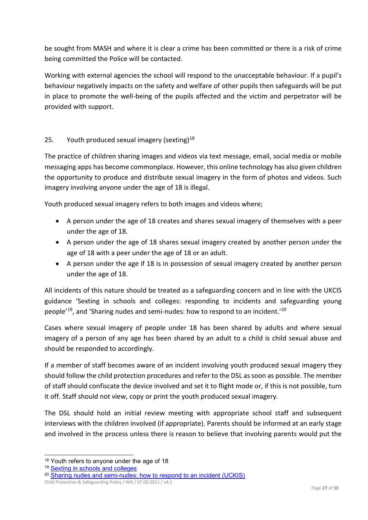be sought from MASH and where it is clear a crime has been committed or there is a risk of crime being committed the Police will be contacted.

Working with external agencies the school will respond to the unacceptable behaviour. If a pupil's behaviour negatively impacts on the safety and welfare of other pupils then safeguards will be put in place to promote the well-being of the pupils affected and the victim and perpetrator will be provided with support.

## 25. Youth produced sexual imagery (sexting) $18$

The practice of children sharing images and videos via text message, email, social media or mobile messaging apps has become commonplace. However, this online technology has also given children the opportunity to produce and distribute sexual imagery in the form of photos and videos. Such imagery involving anyone under the age of 18 is illegal.

Youth produced sexual imagery refers to both images and videos where;

- A person under the age of 18 creates and shares sexual imagery of themselves with a peer under the age of 18.
- A person under the age of 18 shares sexual imagery created by another person under the age of 18 with a peer under the age of 18 or an adult.
- A person under the age if 18 is in possession of sexual imagery created by another person under the age of 18.

All incidents of this nature should be treated as a safeguarding concern and in line with the UKCIS guidance 'Sexting in schools and colleges: responding to incidents and safeguarding young people'[19](#page-26-1), and 'Sharing nudes and semi-nudes: how to respond to an incident.['20](#page-26-2)

Cases where sexual imagery of people under 18 has been shared by adults and where sexual imagery of a person of any age has been shared by an adult to a child is child sexual abuse and should be responded to accordingly.

If a member of staff becomes aware of an incident involving youth produced sexual imagery they should follow the child protection procedures and refer to the DSL as soon as possible. The member of staff should confiscate the device involved and set it to flight mode or, if this is not possible, turn it off. Staff should not view, copy or print the youth produced sexual imagery.

The DSL should hold an initial review meeting with appropriate school staff and subsequent interviews with the children involved (if appropriate). Parents should be informed at an early stage and involved in the process unless there is reason to believe that involving parents would put the

<span id="page-26-0"></span><sup>&</sup>lt;sup>18</sup> Youth refers to anyone under the age of 18

<span id="page-26-1"></span><sup>19</sup> [Sexting in schools and colleges](https://www.gov.uk/government/groups/uk-council-for-child-internet-safety-ukccis)

<span id="page-26-2"></span>Child Protection & Safeguarding Policy / WA / 07.09.2021 / v4.1 <sup>20</sup> [Sharing nudes and semi-nudes: how](https://www.gov.uk/government/publications/sharing-nudes-and-semi-nudes-advice-for-education-settings-working-with-children-and-young-people/sharing-nudes-and-semi-nudes-how-to-respond-to-an-incident-overview) to respond to an incident (UCKIS)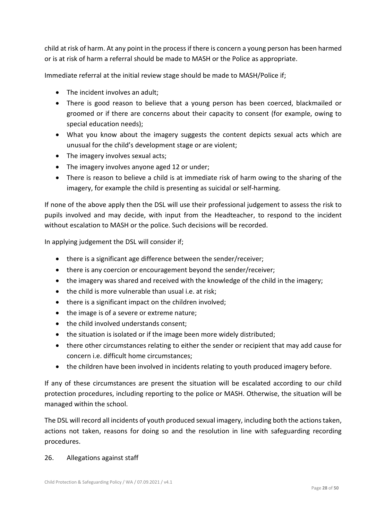child at risk of harm. At any point in the process if there is concern a young person has been harmed or is at risk of harm a referral should be made to MASH or the Police as appropriate.

Immediate referral at the initial review stage should be made to MASH/Police if;

- The incident involves an adult:
- There is good reason to believe that a young person has been coerced, blackmailed or groomed or if there are concerns about their capacity to consent (for example, owing to special education needs);
- What you know about the imagery suggests the content depicts sexual acts which are unusual for the child's development stage or are violent;
- The imagery involves sexual acts;
- The imagery involves anyone aged 12 or under;
- There is reason to believe a child is at immediate risk of harm owing to the sharing of the imagery, for example the child is presenting as suicidal or self-harming.

If none of the above apply then the DSL will use their professional judgement to assess the risk to pupils involved and may decide, with input from the Headteacher, to respond to the incident without escalation to MASH or the police. Such decisions will be recorded.

In applying judgement the DSL will consider if;

- there is a significant age difference between the sender/receiver;
- there is any coercion or encouragement beyond the sender/receiver;
- the imagery was shared and received with the knowledge of the child in the imagery;
- the child is more vulnerable than usual i.e. at risk;
- there is a significant impact on the children involved;
- the image is of a severe or extreme nature;
- the child involved understands consent;
- the situation is isolated or if the image been more widely distributed;
- there other circumstances relating to either the sender or recipient that may add cause for concern i.e. difficult home circumstances;
- the children have been involved in incidents relating to youth produced imagery before.

If any of these circumstances are present the situation will be escalated according to our child protection procedures, including reporting to the police or MASH. Otherwise, the situation will be managed within the school.

The DSL will record all incidents of youth produced sexual imagery, including both the actions taken, actions not taken, reasons for doing so and the resolution in line with safeguarding recording procedures.

#### 26. Allegations against staff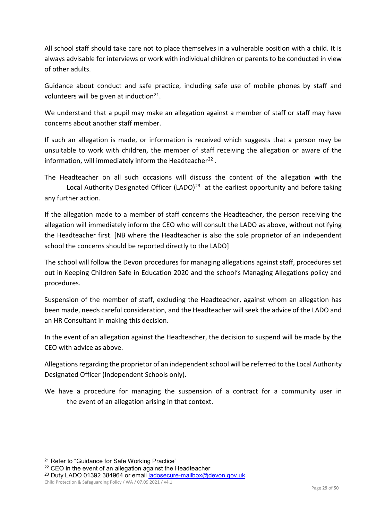All school staff should take care not to place themselves in a vulnerable position with a child. It is always advisable for interviews or work with individual children or parents to be conducted in view of other adults.

Guidance about conduct and safe practice, including safe use of mobile phones by staff and volunteers will be given at induction $21$ .

We understand that a pupil may make an allegation against a member of staff or staff may have concerns about another staff member.

If such an allegation is made, or information is received which suggests that a person may be unsuitable to work with children, the member of staff receiving the allegation or aware of the information, will immediately inform the Headteacher<sup>[22](#page-28-1)</sup>.

The Headteacher on all such occasions will discuss the content of the allegation with the Local Authority Designated Officer (LADO)<sup>[23](#page-28-2)</sup> at the earliest opportunity and before taking any further action.

If the allegation made to a member of staff concerns the Headteacher, the person receiving the allegation will immediately inform the CEO who will consult the LADO as above, without notifying the Headteacher first. [NB where the Headteacher is also the sole proprietor of an independent school the concerns should be reported directly to the LADO]

The school will follow the Devon procedures for managing allegations against staff, procedures set out in Keeping Children Safe in Education 2020 and the school's Managing Allegations policy and procedures.

Suspension of the member of staff, excluding the Headteacher, against whom an allegation has been made, needs careful consideration, and the Headteacher will seek the advice of the LADO and an HR Consultant in making this decision.

In the event of an allegation against the Headteacher, the decision to suspend will be made by the CEO with advice as above.

Allegations regarding the proprietor of an independent school will be referred to the Local Authority Designated Officer (Independent Schools only).

We have a procedure for managing the suspension of a contract for a community user in the event of an allegation arising in that context.

Child Protection & Safeguarding Policy / WA / 07.09.2021 / v4.1

<span id="page-28-0"></span><sup>&</sup>lt;sup>21</sup> Refer to "Guidance for Safe Working Practice"

<span id="page-28-1"></span><sup>&</sup>lt;sup>22</sup> CEO in the event of an allegation against the Headteacher

<span id="page-28-2"></span><sup>23</sup> Duty LADO 01392 384964 or email [ladosecure-mailbox@devon.gov.uk](mailto:ladosecure-mailbox@devon.gov.uk)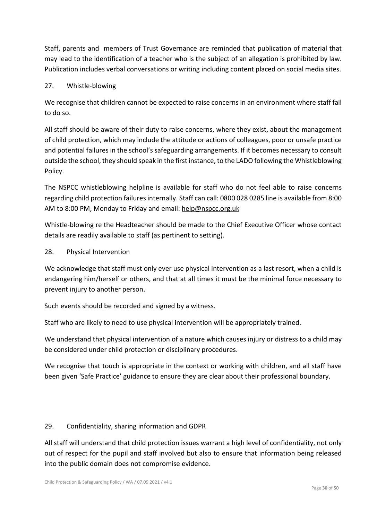Staff, parents and members of Trust Governance are reminded that publication of material that may lead to the identification of a teacher who is the subject of an allegation is prohibited by law. Publication includes verbal conversations or writing including content placed on social media sites.

## 27. Whistle-blowing

We recognise that children cannot be expected to raise concerns in an environment where staff fail to do so.

All staff should be aware of their duty to raise concerns, where they exist, about the management of child protection, which may include the attitude or actions of colleagues, poor or unsafe practice and potential failures in the school's safeguarding arrangements. If it becomes necessary to consult outside the school, they should speak in the first instance, to the LADO following the Whistleblowing Policy.

The NSPCC whistleblowing helpline is available for staff who do not feel able to raise concerns regarding child protection failures internally. Staff can call: 0800 028 0285 line is available from 8:00 AM to 8:00 PM, Monday to Friday and email: [help@nspcc.org.uk](mailto:help@nspcc.org.uk)

Whistle-blowing re the Headteacher should be made to the Chief Executive Officer whose contact details are readily available to staff (as pertinent to setting).

## 28. Physical Intervention

We acknowledge that staff must only ever use physical intervention as a last resort, when a child is endangering him/herself or others, and that at all times it must be the minimal force necessary to prevent injury to another person.

Such events should be recorded and signed by a witness.

Staff who are likely to need to use physical intervention will be appropriately trained.

We understand that physical intervention of a nature which causes injury or distress to a child may be considered under child protection or disciplinary procedures.

We recognise that touch is appropriate in the context or working with children, and all staff have been given 'Safe Practice' guidance to ensure they are clear about their professional boundary.

## 29. Confidentiality, sharing information and GDPR

All staff will understand that child protection issues warrant a high level of confidentiality, not only out of respect for the pupil and staff involved but also to ensure that information being released into the public domain does not compromise evidence.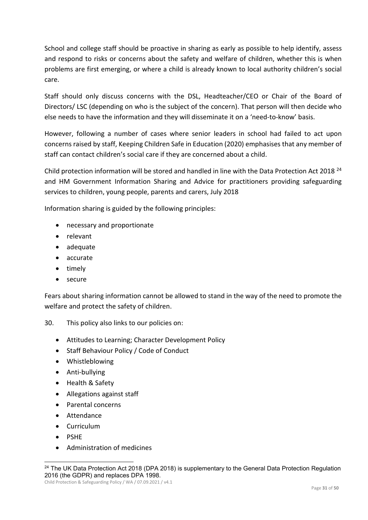School and college staff should be proactive in sharing as early as possible to help identify, assess and respond to risks or concerns about the safety and welfare of children, whether this is when problems are first emerging, or where a child is already known to local authority children's social care.

Staff should only discuss concerns with the DSL, Headteacher/CEO or Chair of the Board of Directors/ LSC (depending on who is the subject of the concern). That person will then decide who else needs to have the information and they will disseminate it on a 'need-to-know' basis.

However, following a number of cases where senior leaders in school had failed to act upon concerns raised by staff, Keeping Children Safe in Education (2020) emphasises that any member of staff can contact children's social care if they are concerned about a child.

Child protection information will be stored and handled in line with the Data Protection Act 2018 [24](#page-30-0) and HM Government Information Sharing and Advice for practitioners providing safeguarding services to children, young people, parents and carers, July 2018

Information sharing is guided by the following principles:

- necessary and proportionate
- relevant
- adequate
- accurate
- timely
- secure

Fears about sharing information cannot be allowed to stand in the way of the need to promote the welfare and protect the safety of children.

30. This policy also links to our policies on:

- Attitudes to Learning; Character Development Policy
- Staff Behaviour Policy / Code of Conduct
- Whistleblowing
- Anti-bullying
- Health & Safety
- Allegations against staff
- Parental concerns
- Attendance
- Curriculum
- PSHE
- Administration of medicines

<span id="page-30-0"></span><sup>&</sup>lt;sup>24</sup> The UK Data Protection Act 2018 (DPA 2018) is supplementary to the General Data Protection Regulation 2016 (the GDPR) and replaces DPA 1998.

Child Protection & Safeguarding Policy / WA / 07.09.2021 / v4.1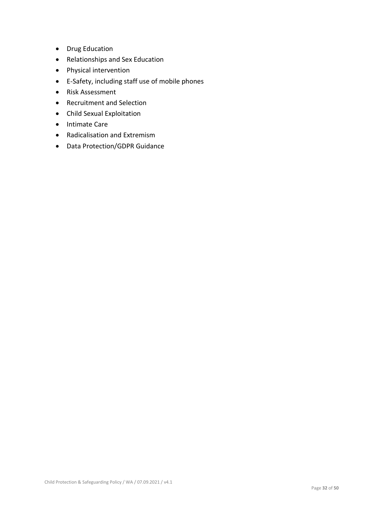- Drug Education
- Relationships and Sex Education
- Physical intervention
- E-Safety, including staff use of mobile phones
- Risk Assessment
- Recruitment and Selection
- Child Sexual Exploitation
- Intimate Care
- Radicalisation and Extremism
- Data Protection/GDPR Guidance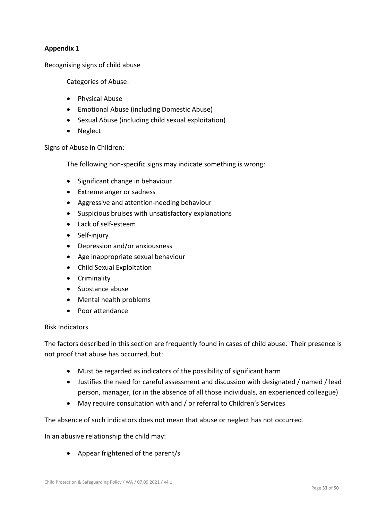## **Appendix 1**

Recognising signs of child abuse

Categories of Abuse:

- Physical Abuse
- Emotional Abuse (including Domestic Abuse)
- Sexual Abuse (including child sexual exploitation)
- Neglect

Signs of Abuse in Children:

The following non-specific signs may indicate something is wrong:

- Significant change in behaviour
- Extreme anger or sadness
- Aggressive and attention-needing behaviour
- Suspicious bruises with unsatisfactory explanations
- Lack of self-esteem
- Self-injury
- Depression and/or anxiousness
- Age inappropriate sexual behaviour
- Child Sexual Exploitation
- Criminality
- Substance abuse
- Mental health problems
- Poor attendance

#### Risk Indicators

The factors described in this section are frequently found in cases of child abuse. Their presence is not proof that abuse has occurred, but:

- Must be regarded as indicators of the possibility of significant harm
- Justifies the need for careful assessment and discussion with designated / named / lead person, manager, (or in the absence of all those individuals, an experienced colleague)
- May require consultation with and / or referral to Children's Services

The absence of such indicators does not mean that abuse or neglect has not occurred.

In an abusive relationship the child may:

• Appear frightened of the parent/s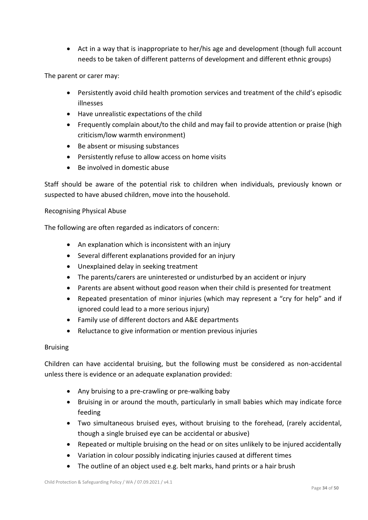• Act in a way that is inappropriate to her/his age and development (though full account needs to be taken of different patterns of development and different ethnic groups)

The parent or carer may:

- Persistently avoid child health promotion services and treatment of the child's episodic illnesses
- Have unrealistic expectations of the child
- Frequently complain about/to the child and may fail to provide attention or praise (high criticism/low warmth environment)
- Be absent or misusing substances
- Persistently refuse to allow access on home visits
- Be involved in domestic abuse

Staff should be aware of the potential risk to children when individuals, previously known or suspected to have abused children, move into the household.

#### Recognising Physical Abuse

The following are often regarded as indicators of concern:

- An explanation which is inconsistent with an injury
- Several different explanations provided for an injury
- Unexplained delay in seeking treatment
- The parents/carers are uninterested or undisturbed by an accident or injury
- Parents are absent without good reason when their child is presented for treatment
- Repeated presentation of minor injuries (which may represent a "cry for help" and if ignored could lead to a more serious injury)
- Family use of different doctors and A&E departments
- Reluctance to give information or mention previous injuries

#### Bruising

Children can have accidental bruising, but the following must be considered as non-accidental unless there is evidence or an adequate explanation provided:

- Any bruising to a pre-crawling or pre-walking baby
- Bruising in or around the mouth, particularly in small babies which may indicate force feeding
- Two simultaneous bruised eyes, without bruising to the forehead, (rarely accidental, though a single bruised eye can be accidental or abusive)
- Repeated or multiple bruising on the head or on sites unlikely to be injured accidentally
- Variation in colour possibly indicating injuries caused at different times
- The outline of an object used e.g. belt marks, hand prints or a hair brush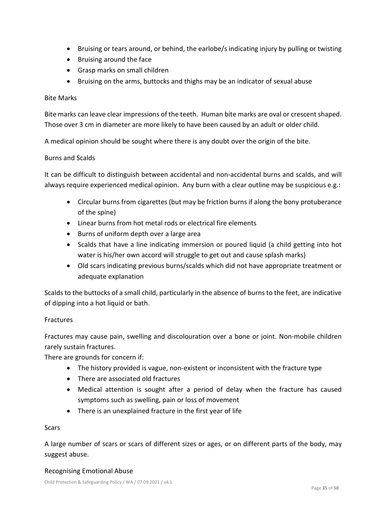- Bruising or tears around, or behind, the earlobe/s indicating injury by pulling or twisting
- Bruising around the face
- Grasp marks on small children
- Bruising on the arms, buttocks and thighs may be an indicator of sexual abuse

#### Bite Marks

Bite marks can leave clear impressions of the teeth. Human bite marks are oval or crescent shaped. Those over 3 cm in diameter are more likely to have been caused by an adult or older child.

A medical opinion should be sought where there is any doubt over the origin of the bite.

## Burns and Scalds

It can be difficult to distinguish between accidental and non-accidental burns and scalds, and will always require experienced medical opinion. Any burn with a clear outline may be suspicious e.g.:

- Circular burns from cigarettes (but may be friction burns if along the bony protuberance of the spine)
- Linear burns from hot metal rods or electrical fire elements
- Burns of uniform depth over a large area
- Scalds that have a line indicating immersion or poured liquid (a child getting into hot water is his/her own accord will struggle to get out and cause splash marks)
- Old scars indicating previous burns/scalds which did not have appropriate treatment or adequate explanation

Scalds to the buttocks of a small child, particularly in the absence of burns to the feet, are indicative of dipping into a hot liquid or bath.

#### Fractures

Fractures may cause pain, swelling and discolouration over a bone or joint. Non-mobile children rarely sustain fractures.

There are grounds for concern if:

- The history provided is vague, non-existent or inconsistent with the fracture type
- There are associated old fractures
- Medical attention is sought after a period of delay when the fracture has caused symptoms such as swelling, pain or loss of movement
- There is an unexplained fracture in the first year of life

#### **Scars**

A large number of scars or scars of different sizes or ages, or on different parts of the body, may suggest abuse.

#### Recognising Emotional Abuse

Child Protection & Safeguarding Policy / WA / 07.09.2021 / v4.1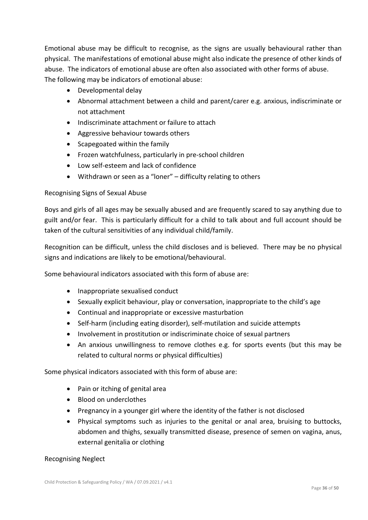Emotional abuse may be difficult to recognise, as the signs are usually behavioural rather than physical. The manifestations of emotional abuse might also indicate the presence of other kinds of abuse. The indicators of emotional abuse are often also associated with other forms of abuse. The following may be indicators of emotional abuse:

- Developmental delay
- Abnormal attachment between a child and parent/carer e.g. anxious, indiscriminate or not attachment
- Indiscriminate attachment or failure to attach
- Aggressive behaviour towards others
- Scapegoated within the family
- Frozen watchfulness, particularly in pre-school children
- Low self-esteem and lack of confidence
- Withdrawn or seen as a "loner" difficulty relating to others

## Recognising Signs of Sexual Abuse

Boys and girls of all ages may be sexually abused and are frequently scared to say anything due to guilt and/or fear. This is particularly difficult for a child to talk about and full account should be taken of the cultural sensitivities of any individual child/family.

Recognition can be difficult, unless the child discloses and is believed. There may be no physical signs and indications are likely to be emotional/behavioural.

Some behavioural indicators associated with this form of abuse are:

- Inappropriate sexualised conduct
- Sexually explicit behaviour, play or conversation, inappropriate to the child's age
- Continual and inappropriate or excessive masturbation
- Self-harm (including eating disorder), self-mutilation and suicide attempts
- Involvement in prostitution or indiscriminate choice of sexual partners
- An anxious unwillingness to remove clothes e.g. for sports events (but this may be related to cultural norms or physical difficulties)

Some physical indicators associated with this form of abuse are:

- Pain or itching of genital area
- Blood on underclothes
- Pregnancy in a younger girl where the identity of the father is not disclosed
- Physical symptoms such as injuries to the genital or anal area, bruising to buttocks, abdomen and thighs, sexually transmitted disease, presence of semen on vagina, anus, external genitalia or clothing

#### Recognising Neglect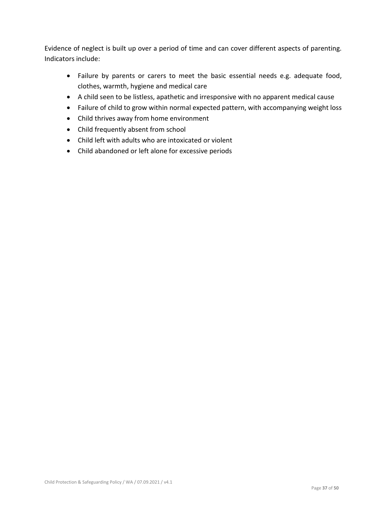Evidence of neglect is built up over a period of time and can cover different aspects of parenting. Indicators include:

- Failure by parents or carers to meet the basic essential needs e.g. adequate food, clothes, warmth, hygiene and medical care
- A child seen to be listless, apathetic and irresponsive with no apparent medical cause
- Failure of child to grow within normal expected pattern, with accompanying weight loss
- Child thrives away from home environment
- Child frequently absent from school
- Child left with adults who are intoxicated or violent
- Child abandoned or left alone for excessive periods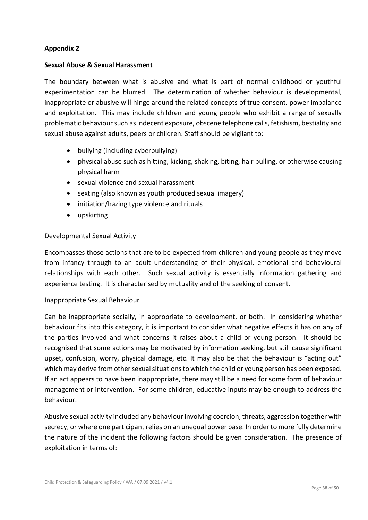#### **Appendix 2**

#### **Sexual Abuse & Sexual Harassment**

The boundary between what is abusive and what is part of normal childhood or youthful experimentation can be blurred. The determination of whether behaviour is developmental, inappropriate or abusive will hinge around the related concepts of true consent, power imbalance and exploitation. This may include children and young people who exhibit a range of sexually problematic behaviour such as indecent exposure, obscene telephone calls, fetishism, bestiality and sexual abuse against adults, peers or children. Staff should be vigilant to:

- bullying (including cyberbullying)
- physical abuse such as hitting, kicking, shaking, biting, hair pulling, or otherwise causing physical harm
- sexual violence and sexual harassment
- sexting (also known as youth produced sexual imagery)
- initiation/hazing type violence and rituals
- upskirting

#### Developmental Sexual Activity

Encompasses those actions that are to be expected from children and young people as they move from infancy through to an adult understanding of their physical, emotional and behavioural relationships with each other. Such sexual activity is essentially information gathering and experience testing. It is characterised by mutuality and of the seeking of consent.

#### Inappropriate Sexual Behaviour

Can be inappropriate socially, in appropriate to development, or both. In considering whether behaviour fits into this category, it is important to consider what negative effects it has on any of the parties involved and what concerns it raises about a child or young person. It should be recognised that some actions may be motivated by information seeking, but still cause significant upset, confusion, worry, physical damage, etc. It may also be that the behaviour is "acting out" which may derive from other sexual situations to which the child or young person has been exposed. If an act appears to have been inappropriate, there may still be a need for some form of behaviour management or intervention. For some children, educative inputs may be enough to address the behaviour.

Abusive sexual activity included any behaviour involving coercion, threats, aggression together with secrecy, or where one participant relies on an unequal power base. In order to more fully determine the nature of the incident the following factors should be given consideration. The presence of exploitation in terms of: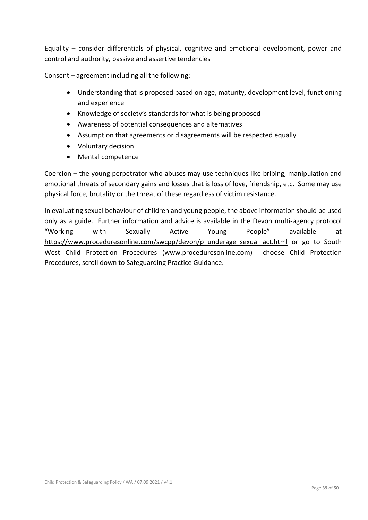Equality – consider differentials of physical, cognitive and emotional development, power and control and authority, passive and assertive tendencies

Consent – agreement including all the following:

- Understanding that is proposed based on age, maturity, development level, functioning and experience
- Knowledge of society's standards for what is being proposed
- Awareness of potential consequences and alternatives
- Assumption that agreements or disagreements will be respected equally
- Voluntary decision
- Mental competence

Coercion – the young perpetrator who abuses may use techniques like bribing, manipulation and emotional threats of secondary gains and losses that is loss of love, friendship, etc. Some may use physical force, brutality or the threat of these regardless of victim resistance.

In evaluating sexual behaviour of children and young people, the above information should be used only as a guide. Further information and advice is available in the Devon multi-agency protocol "Working with Sexually Active Young People" available at [https://www.proceduresonline.com/swcpp/devon/p\\_underage\\_sexual\\_act.html](https://www.proceduresonline.com/swcpp/devon/p_underage_sexual_act.html) or go to South West Child Protection Procedures (www.proceduresonline.com) choose Child Protection Procedures, scroll down to Safeguarding Practice Guidance.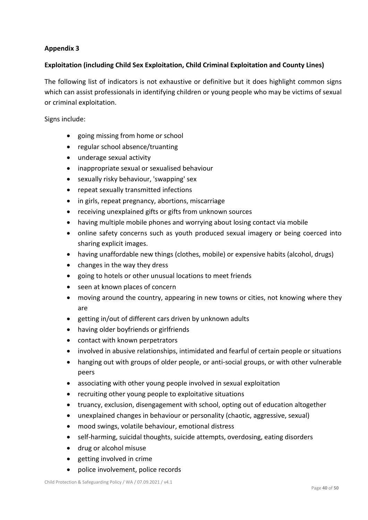## **Appendix 3**

## **Exploitation (including Child Sex Exploitation, Child Criminal Exploitation and County Lines)**

The following list of indicators is not exhaustive or definitive but it does highlight common signs which can assist professionals in identifying children or young people who may be victims of sexual or criminal exploitation.

Signs include:

- going missing from home or school
- regular school absence/truanting
- underage sexual activity
- inappropriate sexual or sexualised behaviour
- sexually risky behaviour, 'swapping' sex
- repeat sexually transmitted infections
- in girls, repeat pregnancy, abortions, miscarriage
- receiving unexplained gifts or gifts from unknown sources
- having multiple mobile phones and worrying about losing contact via mobile
- online safety concerns such as youth produced sexual imagery or being coerced into sharing explicit images.
- having unaffordable new things (clothes, mobile) or expensive habits (alcohol, drugs)
- changes in the way they dress
- going to hotels or other unusual locations to meet friends
- seen at known places of concern
- moving around the country, appearing in new towns or cities, not knowing where they are
- getting in/out of different cars driven by unknown adults
- having older boyfriends or girlfriends
- contact with known perpetrators
- involved in abusive relationships, intimidated and fearful of certain people or situations
- hanging out with groups of older people, or anti-social groups, or with other vulnerable peers
- associating with other young people involved in sexual exploitation
- recruiting other young people to exploitative situations
- truancy, exclusion, disengagement with school, opting out of education altogether
- unexplained changes in behaviour or personality (chaotic, aggressive, sexual)
- mood swings, volatile behaviour, emotional distress
- self-harming, suicidal thoughts, suicide attempts, overdosing, eating disorders
- drug or alcohol misuse
- getting involved in crime
- police involvement, police records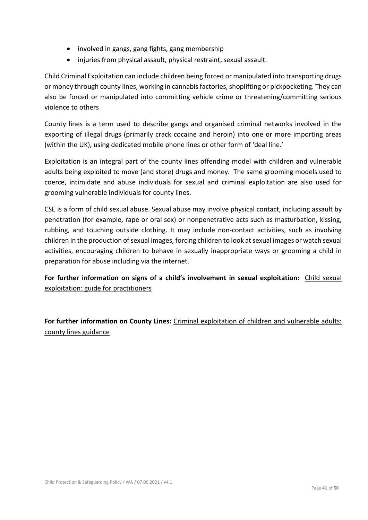- involved in gangs, gang fights, gang membership
- injuries from physical assault, physical restraint, sexual assault.

Child Criminal Exploitation can include children being forced or manipulated into transporting drugs or money through county lines, working in cannabis factories, shoplifting or pickpocketing. They can also be forced or manipulated into committing vehicle crime or threatening/committing serious violence to others

County lines is a term used to describe gangs and organised criminal networks involved in the exporting of illegal drugs (primarily crack cocaine and heroin) into one or more importing areas (within the UK), using dedicated mobile phone lines or other form of 'deal line.'

Exploitation is an integral part of the county lines offending model with children and vulnerable adults being exploited to move (and store) drugs and money. The same grooming models used to coerce, intimidate and abuse individuals for sexual and criminal exploitation are also used for grooming vulnerable individuals for county lines.

CSE is a form of child sexual abuse. Sexual abuse may involve physical contact, including assault by penetration (for example, rape or oral sex) or nonpenetrative acts such as masturbation, kissing, rubbing, and touching outside clothing. It may include non-contact activities, such as involving children in the production of sexual images, forcing children to look at sexual images or watch sexual activities, encouraging children to behave in sexually inappropriate ways or grooming a child in preparation for abuse including via the internet.

# **For further information on signs of a child's involvement in sexual exploitation:** [Child sexual](https://assets.publishing.service.gov.uk/government/uploads/system/uploads/attachment_data/file/591903/CSE_Guidance_Core_Document_13.02.2017.pdf)  [exploitation: guide for practitioners](https://assets.publishing.service.gov.uk/government/uploads/system/uploads/attachment_data/file/591903/CSE_Guidance_Core_Document_13.02.2017.pdf)

**For further information on County Lines:** [Criminal exploitation of children and vulnerable adults:](https://www.gov.uk/government/publications/criminal-exploitation-of-children-and-vulnerable-adults-county-lines)  [county lines guidance](https://www.gov.uk/government/publications/criminal-exploitation-of-children-and-vulnerable-adults-county-lines)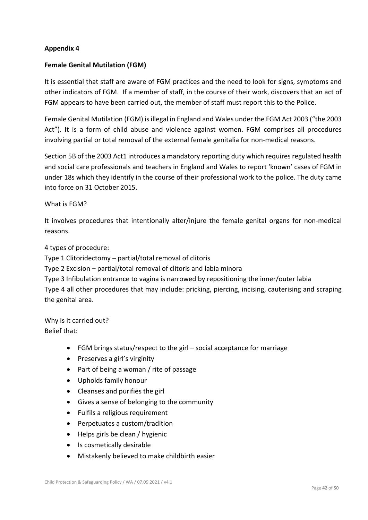## **Appendix 4**

## **Female Genital Mutilation (FGM)**

It is essential that staff are aware of FGM practices and the need to look for signs, symptoms and other indicators of FGM. If a member of staff, in the course of their work, discovers that an act of FGM appears to have been carried out, the member of staff must report this to the Police.

Female Genital Mutilation (FGM) is illegal in England and Wales under the FGM Act 2003 ("the 2003 Act"). It is a form of child abuse and violence against women. FGM comprises all procedures involving partial or total removal of the external female genitalia for non-medical reasons.

Section 5B of the 2003 Act1 introduces a mandatory reporting duty which requires regulated health and social care professionals and teachers in England and Wales to report 'known' cases of FGM in under 18s which they identify in the course of their professional work to the police. The duty came into force on 31 October 2015.

#### What is FGM?

It involves procedures that intentionally alter/injure the female genital organs for non-medical reasons.

4 types of procedure:

Type 1 Clitoridectomy – partial/total removal of clitoris

Type 2 Excision – partial/total removal of clitoris and labia minora

Type 3 Infibulation entrance to vagina is narrowed by repositioning the inner/outer labia Type 4 all other procedures that may include: pricking, piercing, incising, cauterising and scraping the genital area.

Why is it carried out? Belief that:

- FGM brings status/respect to the girl social acceptance for marriage
- Preserves a girl's virginity
- Part of being a woman / rite of passage
- Upholds family honour
- Cleanses and purifies the girl
- Gives a sense of belonging to the community
- Fulfils a religious requirement
- Perpetuates a custom/tradition
- Helps girls be clean / hygienic
- Is cosmetically desirable
- Mistakenly believed to make childbirth easier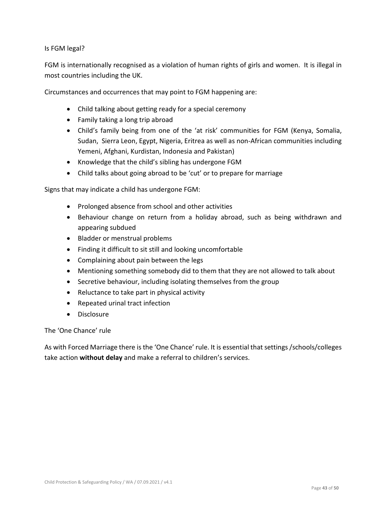Is FGM legal?

FGM is internationally recognised as a violation of human rights of girls and women. It is illegal in most countries including the UK.

Circumstances and occurrences that may point to FGM happening are:

- Child talking about getting ready for a special ceremony
- Family taking a long trip abroad
- Child's family being from one of the 'at risk' communities for FGM (Kenya, Somalia, Sudan, Sierra Leon, Egypt, Nigeria, Eritrea as well as non-African communities including Yemeni, Afghani, Kurdistan, Indonesia and Pakistan)
- Knowledge that the child's sibling has undergone FGM
- Child talks about going abroad to be 'cut' or to prepare for marriage

Signs that may indicate a child has undergone FGM:

- Prolonged absence from school and other activities
- Behaviour change on return from a holiday abroad, such as being withdrawn and appearing subdued
- Bladder or menstrual problems
- Finding it difficult to sit still and looking uncomfortable
- Complaining about pain between the legs
- Mentioning something somebody did to them that they are not allowed to talk about
- Secretive behaviour, including isolating themselves from the group
- Reluctance to take part in physical activity
- Repeated urinal tract infection
- Disclosure

The 'One Chance' rule

As with Forced Marriage there is the 'One Chance' rule. It is essential that settings /schools/colleges take action **without delay** and make a referral to children's services.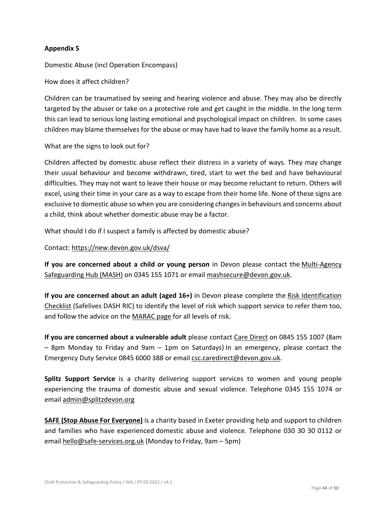## **Appendix 5**

Domestic Abuse (incl Operation Encompass)

How does it affect children?

Children can be traumatised by seeing and hearing violence and abuse. They may also be directly targeted by the abuser or take on a protective role and get caught in the middle. In the long term this can lead to serious long lasting emotional and psychological impact on children. In some cases children may blame themselves for the abuse or may have had to leave the family home as a result.

#### What are the signs to look out for?

Children affected by domestic abuse reflect their distress in a variety of ways. They may change their usual behaviour and become withdrawn, tired, start to wet the bed and have behavioural difficulties. They may not want to leave their house or may become reluctant to return. Others will excel, using their time in your care as a way to escape from their home life. None of these signs are exclusive to domestic abuse so when you are considering changes in behaviours and concerns about a child, think about whether domestic abuse may be a factor.

What should I do if I suspect a family is affected by domestic abuse?

Contact:<https://new.devon.gov.uk/dsva/>

**If you are concerned about a child or young person** in Devon please contact the [Multi-Agency](https://www.devon.gov.uk/educationandfamilies/child-protection/making-a-mash-enquiry)  [Safeguarding Hub \(MASH\)](https://www.devon.gov.uk/educationandfamilies/child-protection/making-a-mash-enquiry) on 0345 155 1071 or emai[l mashsecure@devon.gov.uk.](mailto:mashsecure@devon.gov.uk)

**If you are concerned about an adult (aged 16+)** in Devon please complete the [Risk Identification](https://safelives.org.uk/sites/default/files/resources/NI%20Dash%20without%20guidance%20FINAL.pdf)  [Checklist](https://safelives.org.uk/sites/default/files/resources/NI%20Dash%20without%20guidance%20FINAL.pdf) (Safelives DASH RIC) to identify the level of risk which support service to refer them too, and follow the advice on the [MARAC page](https://new.devon.gov.uk/dsva/information-for-professionals/marac/) for all levels of risk.

**If you are concerned about a vulnerable adult** please contact [Care Direct](https://new.devon.gov.uk/devonsafeguardingadultsboard/reporting-concerns) on 0845 155 1007 (8am – 8pm Monday to Friday and 9am – 1pm on Saturdays) In an emergency, please contact the Emergency Duty Service 0845 6000 388 or email [csc.caredirect@devon.gov.uk.](mailto:csc.caredirect@devon.gov.uk)

**[Splitz Support Service](https://www.splitz.org/devon.html)** is a charity delivering support services to women and young people experiencing the trauma of domestic abuse and sexual violence. Telephone 0345 155 1074 or email [admin@splitzdevon.org](mailto:admin@splitzdevon.org)

**SAFE [\(Stop Abuse For Everyone\)](https://www.safe-services.org.uk/)** is a charity based in Exeter providing help and support to children and families who have experienced domestic abuse and violence. Telephone 030 30 30 0112 or email [hello@safe-services.org.uk](mailto:info@safe-services.org.uk) (Monday to Friday, 9am – 5pm)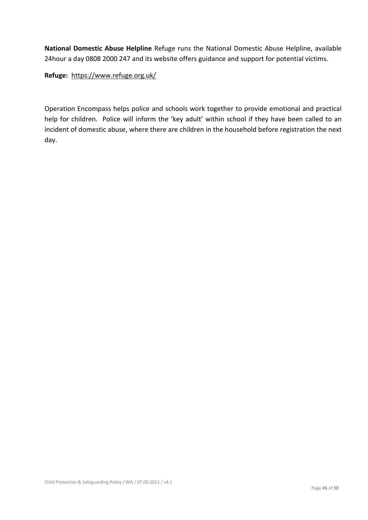**National Domestic Abuse Helpline** Refuge runs the National Domestic Abuse Helpline, available 24hour a day 0808 2000 247 and its website offers guidance and support for potential victims.

**Refuge:** <https://www.refuge.org.uk/>

Operation Encompass helps police and schools work together to provide emotional and practical help for children. Police will inform the 'key adult' within school if they have been called to an incident of domestic abuse, where there are children in the household before registration the next day.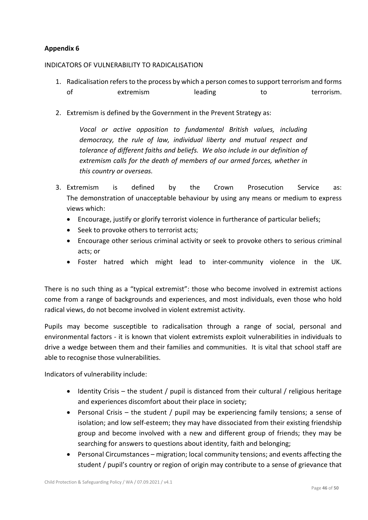## **Appendix 6**

#### INDICATORS OF VULNERABILITY TO RADICALISATION

- 1. Radicalisation refers to the process by which a person comes to support terrorism and forms of extremism extremism leading to to terrorism.
- 2. Extremism is defined by the Government in the Prevent Strategy as:

*Vocal or active opposition to fundamental British values, including democracy, the rule of law, individual liberty and mutual respect and tolerance of different faiths and beliefs. We also include in our definition of extremism calls for the death of members of our armed forces, whether in this country or overseas.*

- 3. Extremism is defined by the Crown Prosecution Service as: The demonstration of unacceptable behaviour by using any means or medium to express views which:
	- Encourage, justify or glorify terrorist violence in furtherance of particular beliefs;
	- Seek to provoke others to terrorist acts;
	- Encourage other serious criminal activity or seek to provoke others to serious criminal acts; or
	- Foster hatred which might lead to inter-community violence in the UK.

There is no such thing as a "typical extremist": those who become involved in extremist actions come from a range of backgrounds and experiences, and most individuals, even those who hold radical views, do not become involved in violent extremist activity.

Pupils may become susceptible to radicalisation through a range of social, personal and environmental factors - it is known that violent extremists exploit vulnerabilities in individuals to drive a wedge between them and their families and communities. It is vital that school staff are able to recognise those vulnerabilities.

Indicators of vulnerability include:

- Identity Crisis the student / pupil is distanced from their cultural / religious heritage and experiences discomfort about their place in society;
- Personal Crisis the student / pupil may be experiencing family tensions; a sense of isolation; and low self-esteem; they may have dissociated from their existing friendship group and become involved with a new and different group of friends; they may be searching for answers to questions about identity, faith and belonging;
- Personal Circumstances migration; local community tensions; and events affecting the student / pupil's country or region of origin may contribute to a sense of grievance that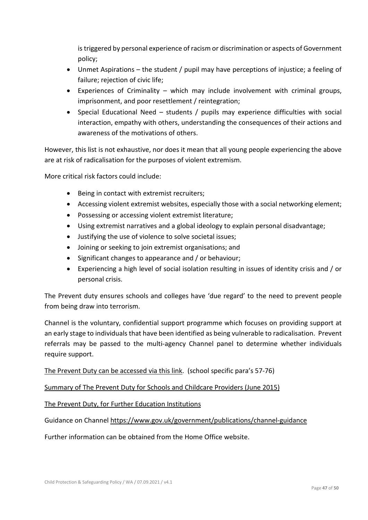is triggered by personal experience of racism or discrimination or aspects of Government policy;

- Unmet Aspirations the student / pupil may have perceptions of injustice; a feeling of failure; rejection of civic life;
- Experiences of Criminality which may include involvement with criminal groups, imprisonment, and poor resettlement / reintegration;
- Special Educational Need students / pupils may experience difficulties with social interaction, empathy with others, understanding the consequences of their actions and awareness of the motivations of others.

However, this list is not exhaustive, nor does it mean that all young people experiencing the above are at risk of radicalisation for the purposes of violent extremism.

More critical risk factors could include:

- Being in contact with extremist recruiters;
- Accessing violent extremist websites, especially those with a social networking element;
- Possessing or accessing violent extremist literature;
- Using extremist narratives and a global ideology to explain personal disadvantage;
- Justifying the use of violence to solve societal issues;
- Joining or seeking to join extremist organisations; and
- Significant changes to appearance and / or behaviour;
- Experiencing a high level of social isolation resulting in issues of identity crisis and / or personal crisis.

The Prevent duty ensures schools and colleges have 'due regard' to the need to prevent people from being draw into terrorism.

Channel is the voluntary, confidential support programme which focuses on providing support at an early stage to individuals that have been identified as being vulnerable to radicalisation. Prevent referrals may be passed to the multi-agency Channel panel to determine whether individuals require support.

[The Prevent Duty can be accessed via this link.](https://www.gov.uk/government/publications/prevent-duty-guidance/revised-prevent-duty-guidance-for-england-and-wales) (school specific para's 57-76)

[Summary of The Prevent Duty for Schools and Childcare Providers \(June 2015\)](https://assets.publishing.service.gov.uk/government/uploads/system/uploads/attachment_data/file/439598/prevent-duty-departmental-advice-v6.pdf)

[The Prevent Duty, for Further Education Institutions](https://www.gov.uk/government/publications/prevent-duty-guidance/prevent-duty-guidance-for-further-education-institutions-in-england-and-wales)

Guidance on Channel <https://www.gov.uk/government/publications/channel-guidance>

Further information can be obtained from the Home Office website.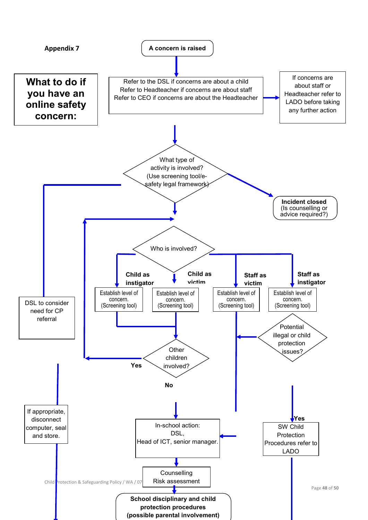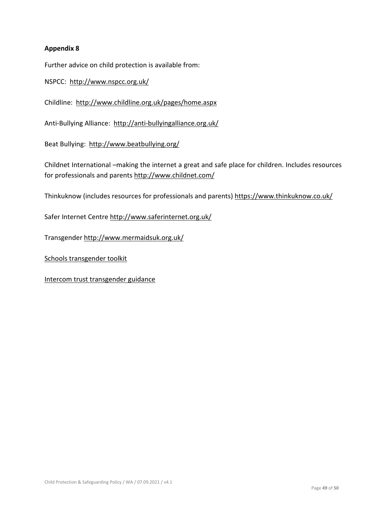## **Appendix 8**

Further advice on child protection is available from:

NSPCC: <http://www.nspcc.org.uk/>

Childline: <http://www.childline.org.uk/pages/home.aspx>

Anti-Bullying Alliance: <http://anti-bullyingalliance.org.uk/>

Beat Bullying: <http://www.beatbullying.org/>

Childnet International –making the internet a great and safe place for children. Includes resources for professionals and parents<http://www.childnet.com/>

Thinkuknow (includes resources for professionals and parents[\) https://www.thinkuknow.co.uk/](https://www.thinkuknow.co.uk/)

Safer Internet Centre<http://www.saferinternet.org.uk/>

Transgender<http://www.mermaidsuk.org.uk/>

[Schools transgender toolkit](https://www.theproudtrust.org/resources/research-and-guidance-by-other-organisations/trans-inclusion-schools-toolkit/)

[Intercom trust transgender guidance](https://www.intercomtrust.org.uk/item/55-schools-transgender-guidance-july-2015)